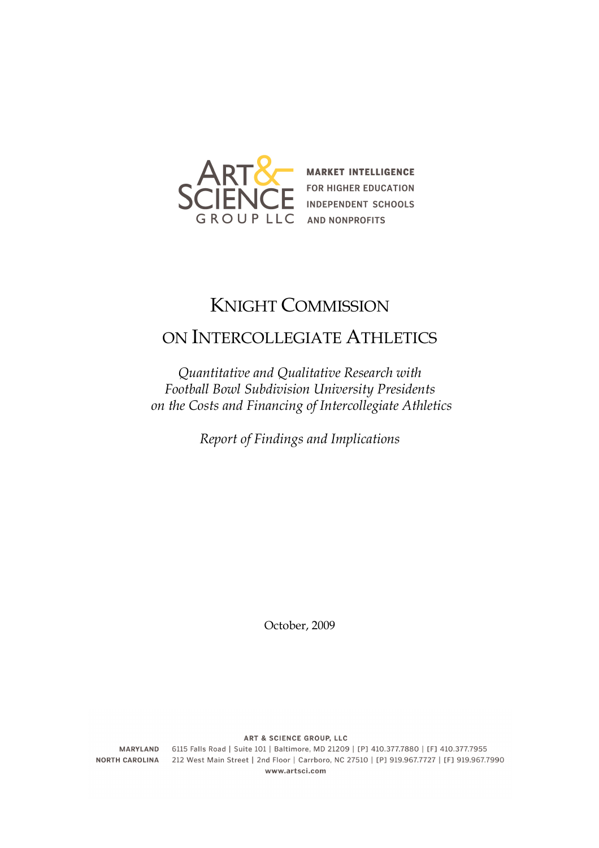

**AND NONPROFITS** 

# KNIGHT COMMISSION

# ON INTERCOLLEGIATE ATHLETICS

*Quantitative and Qualitative Research with Football Bowl Subdivision University Presidents on the Costs and Financing of Intercollegiate Athletics* 

*Report of Findings and Implications* 

October, 2009

ART & SCIENCE GROUP, LLC MARYLAND 6115 Falls Road | Suite 101 | Baltimore, MD 21209 | [P] 410.377.7880 | [F] 410.377.7955 NORTH CAROLINA 212 West Main Street | 2nd Floor | Carrboro, NC 27510 | [P] 919.967.7727 | [F] 919.967.7990 www.artsci.com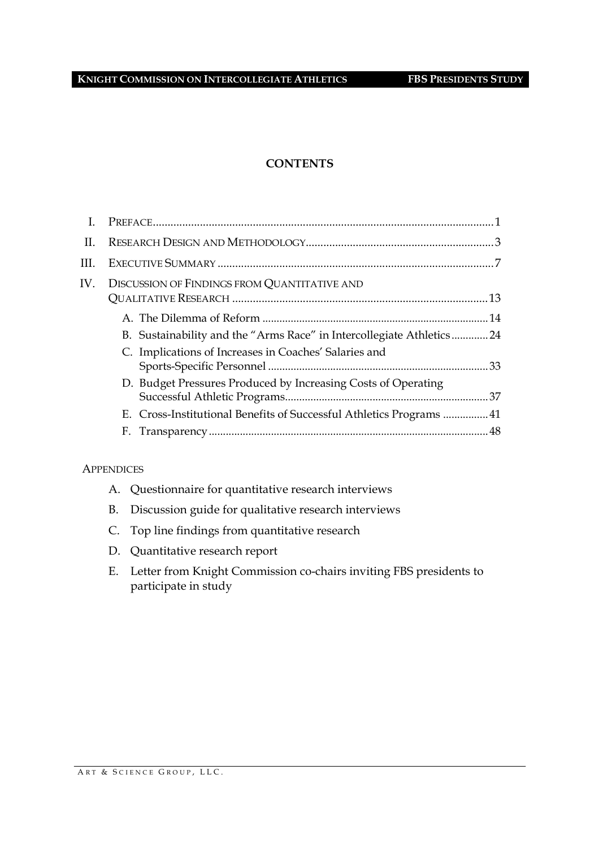## **CONTENTS**

| H.   |                                                                      |  |
|------|----------------------------------------------------------------------|--|
| III. |                                                                      |  |
| IV.  | DISCUSSION OF FINDINGS FROM QUANTITATIVE AND                         |  |
|      |                                                                      |  |
|      | B. Sustainability and the "Arms Race" in Intercollegiate Athletics24 |  |
|      | C. Implications of Increases in Coaches' Salaries and                |  |
|      | D. Budget Pressures Produced by Increasing Costs of Operating        |  |
|      | E. Cross-Institutional Benefits of Successful Athletics Programs 41  |  |
|      | Е.                                                                   |  |
|      |                                                                      |  |

#### **APPENDICES**

|  | A. Questionnaire for quantitative research interviews |  |  |  |  |
|--|-------------------------------------------------------|--|--|--|--|
|--|-------------------------------------------------------|--|--|--|--|

- B. Discussion guide for qualitative research interviews
- C. Top line findings from quantitative research
- D. Quantitative research report
- E. Letter from Knight Commission co-chairs inviting FBS presidents to participate in study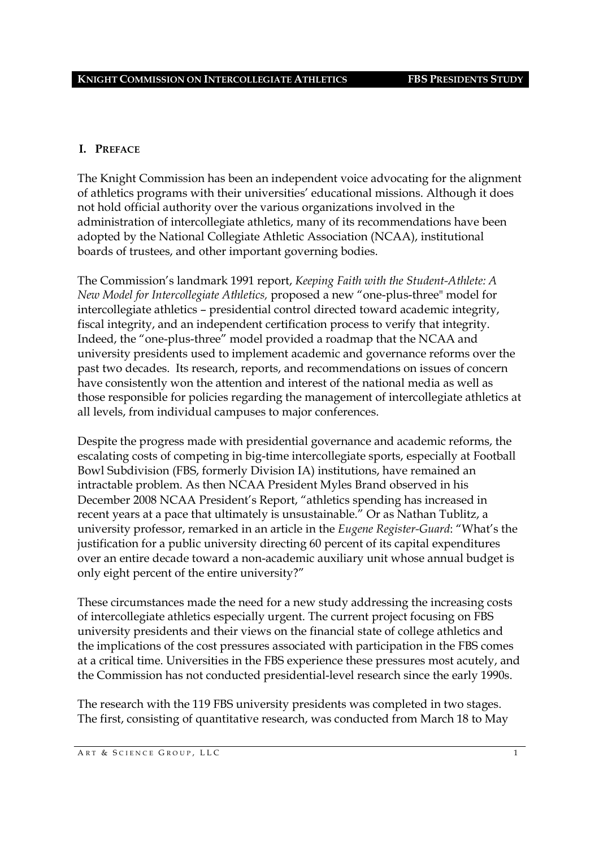## **I. PREFACE**

The Knight Commission has been an independent voice advocating for the alignment of athletics programs with their universities' educational missions. Although it does not hold official authority over the various organizations involved in the administration of intercollegiate athletics, many of its recommendations have been adopted by the National Collegiate Athletic Association (NCAA), institutional boards of trustees, and other important governing bodies.

The Commission's landmark 1991 report, *Keeping Faith with the Student-Athlete: A New Model for Intercollegiate Athletics,* proposed a new "one-plus-three" model for intercollegiate athletics – presidential control directed toward academic integrity, fiscal integrity, and an independent certification process to verify that integrity. Indeed, the "one-plus-three" model provided a roadmap that the NCAA and university presidents used to implement academic and governance reforms over the past two decades. Its research, reports, and recommendations on issues of concern have consistently won the attention and interest of the national media as well as those responsible for policies regarding the management of intercollegiate athletics at all levels, from individual campuses to major conferences.

Despite the progress made with presidential governance and academic reforms, the escalating costs of competing in big-time intercollegiate sports, especially at Football Bowl Subdivision (FBS, formerly Division IA) institutions, have remained an intractable problem. As then NCAA President Myles Brand observed in his December 2008 NCAA President's Report, "athletics spending has increased in recent years at a pace that ultimately is unsustainable." Or as Nathan Tublitz, a university professor, remarked in an article in the *Eugene Register-Guard*: "What's the justification for a public university directing 60 percent of its capital expenditures over an entire decade toward a non-academic auxiliary unit whose annual budget is only eight percent of the entire university?"

These circumstances made the need for a new study addressing the increasing costs of intercollegiate athletics especially urgent. The current project focusing on FBS university presidents and their views on the financial state of college athletics and the implications of the cost pressures associated with participation in the FBS comes at a critical time. Universities in the FBS experience these pressures most acutely, and the Commission has not conducted presidential-level research since the early 1990s.

The research with the 119 FBS university presidents was completed in two stages. The first, consisting of quantitative research, was conducted from March 18 to May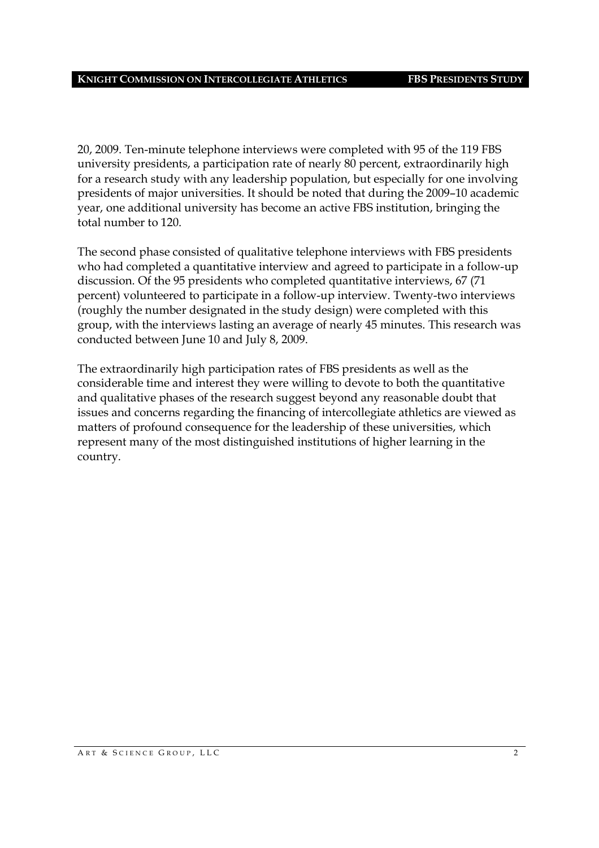20, 2009. Ten-minute telephone interviews were completed with 95 of the 119 FBS university presidents, a participation rate of nearly 80 percent, extraordinarily high for a research study with any leadership population, but especially for one involving presidents of major universities. It should be noted that during the 2009–10 academic year, one additional university has become an active FBS institution, bringing the total number to 120.

The second phase consisted of qualitative telephone interviews with FBS presidents who had completed a quantitative interview and agreed to participate in a follow-up discussion. Of the 95 presidents who completed quantitative interviews, 67 (71 percent) volunteered to participate in a follow-up interview. Twenty-two interviews (roughly the number designated in the study design) were completed with this group, with the interviews lasting an average of nearly 45 minutes. This research was conducted between June 10 and July 8, 2009.

The extraordinarily high participation rates of FBS presidents as well as the considerable time and interest they were willing to devote to both the quantitative and qualitative phases of the research suggest beyond any reasonable doubt that issues and concerns regarding the financing of intercollegiate athletics are viewed as matters of profound consequence for the leadership of these universities, which represent many of the most distinguished institutions of higher learning in the country.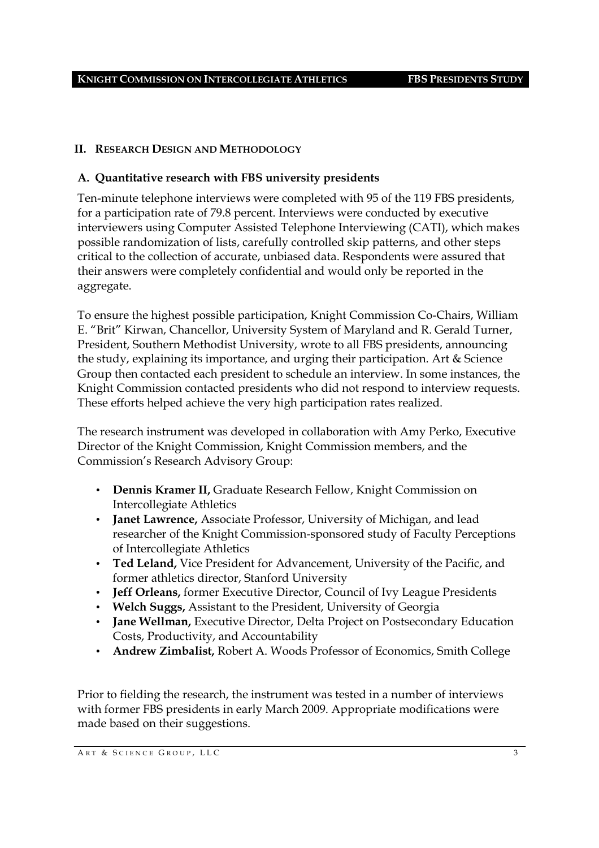## **II. RESEARCH DESIGN AND METHODOLOGY**

## **A. Quantitative research with FBS university presidents**

Ten-minute telephone interviews were completed with 95 of the 119 FBS presidents, for a participation rate of 79.8 percent. Interviews were conducted by executive interviewers using Computer Assisted Telephone Interviewing (CATI), which makes possible randomization of lists, carefully controlled skip patterns, and other steps critical to the collection of accurate, unbiased data. Respondents were assured that their answers were completely confidential and would only be reported in the aggregate.

To ensure the highest possible participation, Knight Commission Co-Chairs, William E. "Brit" Kirwan, Chancellor, University System of Maryland and R. Gerald Turner, President, Southern Methodist University, wrote to all FBS presidents, announcing the study, explaining its importance, and urging their participation. Art & Science Group then contacted each president to schedule an interview. In some instances, the Knight Commission contacted presidents who did not respond to interview requests. These efforts helped achieve the very high participation rates realized.

The research instrument was developed in collaboration with Amy Perko, Executive Director of the Knight Commission, Knight Commission members, and the Commission's Research Advisory Group:

- **Dennis Kramer II,** Graduate Research Fellow, Knight Commission on Intercollegiate Athletics
- **Janet Lawrence,** Associate Professor, University of Michigan, and lead researcher of the Knight Commission-sponsored study of Faculty Perceptions of Intercollegiate Athletics
- **Ted Leland,** Vice President for Advancement, University of the Pacific, and former athletics director, Stanford University
- **Jeff Orleans,** former Executive Director, Council of Ivy League Presidents
- **Welch Suggs,** Assistant to the President, University of Georgia
- **Jane Wellman,** Executive Director, Delta Project on Postsecondary Education Costs, Productivity, and Accountability
- **Andrew Zimbalist,** Robert A. Woods Professor of Economics, Smith College

Prior to fielding the research, the instrument was tested in a number of interviews with former FBS presidents in early March 2009. Appropriate modifications were made based on their suggestions.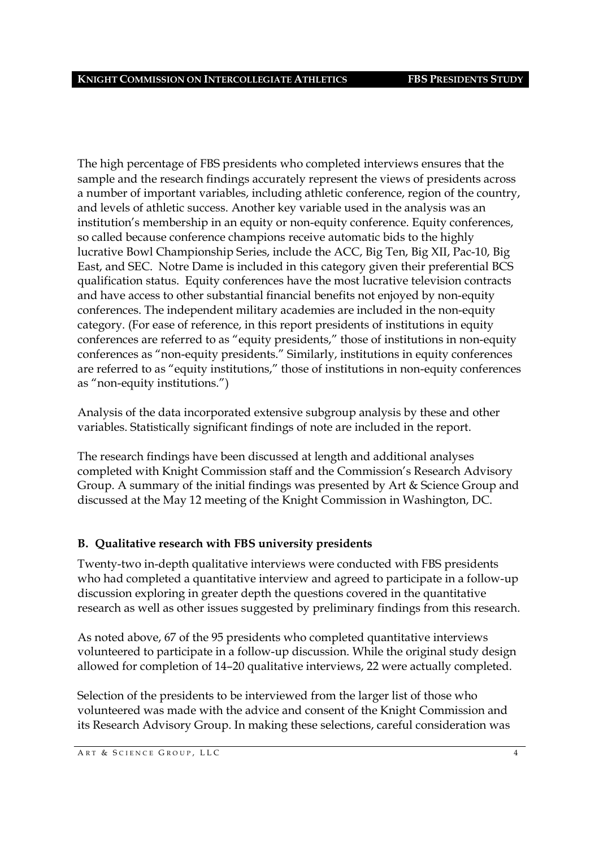The high percentage of FBS presidents who completed interviews ensures that the sample and the research findings accurately represent the views of presidents across a number of important variables, including athletic conference, region of the country, and levels of athletic success. Another key variable used in the analysis was an institution's membership in an equity or non-equity conference. Equity conferences, so called because conference champions receive automatic bids to the highly lucrative Bowl Championship Series, include the ACC, Big Ten, Big XII, Pac-10, Big East, and SEC. Notre Dame is included in this category given their preferential BCS qualification status. Equity conferences have the most lucrative television contracts and have access to other substantial financial benefits not enjoyed by non-equity conferences. The independent military academies are included in the non-equity category. (For ease of reference, in this report presidents of institutions in equity conferences are referred to as "equity presidents," those of institutions in non-equity conferences as "non-equity presidents." Similarly, institutions in equity conferences are referred to as "equity institutions," those of institutions in non-equity conferences as "non-equity institutions.")

Analysis of the data incorporated extensive subgroup analysis by these and other variables. Statistically significant findings of note are included in the report.

The research findings have been discussed at length and additional analyses completed with Knight Commission staff and the Commission's Research Advisory Group. A summary of the initial findings was presented by Art & Science Group and discussed at the May 12 meeting of the Knight Commission in Washington, DC.

# **B. Qualitative research with FBS university presidents**

Twenty-two in-depth qualitative interviews were conducted with FBS presidents who had completed a quantitative interview and agreed to participate in a follow-up discussion exploring in greater depth the questions covered in the quantitative research as well as other issues suggested by preliminary findings from this research.

As noted above, 67 of the 95 presidents who completed quantitative interviews volunteered to participate in a follow-up discussion. While the original study design allowed for completion of 14–20 qualitative interviews, 22 were actually completed.

Selection of the presidents to be interviewed from the larger list of those who volunteered was made with the advice and consent of the Knight Commission and its Research Advisory Group. In making these selections, careful consideration was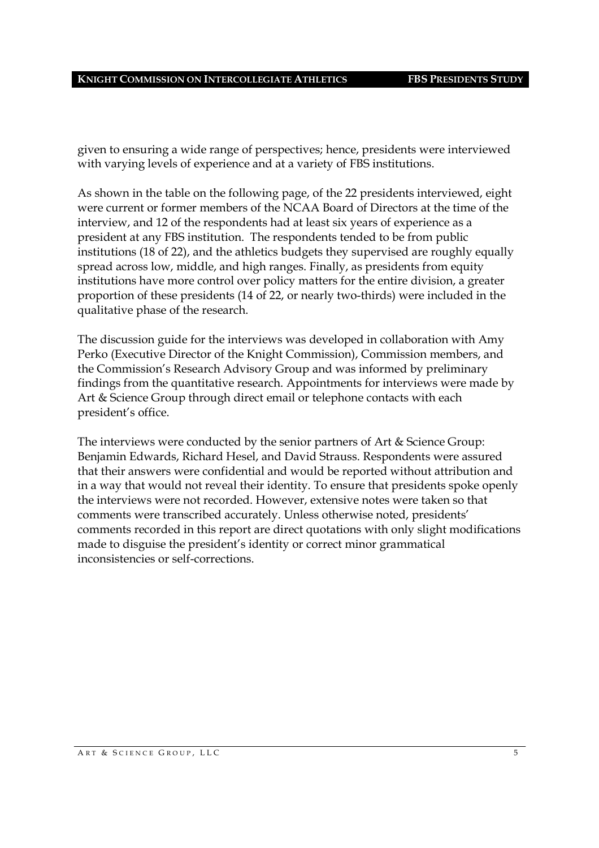given to ensuring a wide range of perspectives; hence, presidents were interviewed with varying levels of experience and at a variety of FBS institutions.

As shown in the table on the following page, of the 22 presidents interviewed, eight were current or former members of the NCAA Board of Directors at the time of the interview, and 12 of the respondents had at least six years of experience as a president at any FBS institution. The respondents tended to be from public institutions (18 of 22), and the athletics budgets they supervised are roughly equally spread across low, middle, and high ranges. Finally, as presidents from equity institutions have more control over policy matters for the entire division, a greater proportion of these presidents (14 of 22, or nearly two-thirds) were included in the qualitative phase of the research.

The discussion guide for the interviews was developed in collaboration with Amy Perko (Executive Director of the Knight Commission), Commission members, and the Commission's Research Advisory Group and was informed by preliminary findings from the quantitative research. Appointments for interviews were made by Art & Science Group through direct email or telephone contacts with each president's office.

The interviews were conducted by the senior partners of Art & Science Group: Benjamin Edwards, Richard Hesel, and David Strauss. Respondents were assured that their answers were confidential and would be reported without attribution and in a way that would not reveal their identity. To ensure that presidents spoke openly the interviews were not recorded. However, extensive notes were taken so that comments were transcribed accurately. Unless otherwise noted, presidents' comments recorded in this report are direct quotations with only slight modifications made to disguise the president's identity or correct minor grammatical inconsistencies or self-corrections.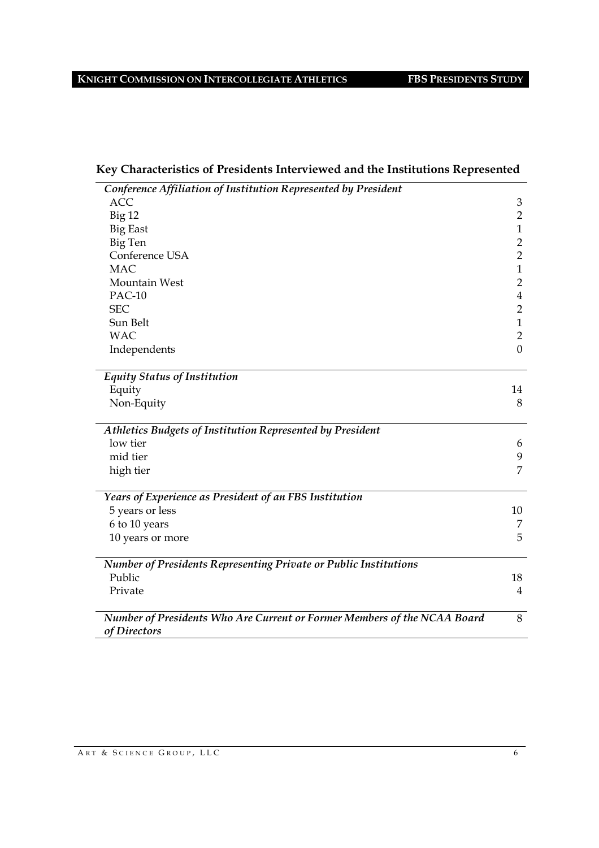# **KNIGHT COMMISSION ON INTERCOLLEGIATE ATHLETICS FBS PRESIDENTS STUDY**

# **Key Characteristics of Presidents Interviewed and the Institutions Represented**

| Conference Affiliation of Institution Represented by President           |                         |
|--------------------------------------------------------------------------|-------------------------|
| <b>ACC</b>                                                               | $\mathfrak{Z}$          |
| Big 12                                                                   | $\overline{2}$          |
| <b>Big East</b>                                                          | $\mathbf{1}$            |
| Big Ten                                                                  | $\overline{2}$          |
| Conference USA                                                           | $\overline{2}$          |
| <b>MAC</b>                                                               | $\mathbf{1}$            |
| Mountain West                                                            | $\overline{2}$          |
| <b>PAC-10</b>                                                            | $\overline{\mathbf{4}}$ |
| <b>SEC</b>                                                               | $\overline{2}$          |
| Sun Belt                                                                 | $\mathbf{1}$            |
| <b>WAC</b>                                                               | $\overline{c}$          |
| Independents                                                             | $\overline{0}$          |
|                                                                          |                         |
| <b>Equity Status of Institution</b>                                      |                         |
| Equity                                                                   | 14                      |
| Non-Equity                                                               | 8                       |
|                                                                          |                         |
| Athletics Budgets of Institution Represented by President                |                         |
| low tier                                                                 | 6                       |
| mid tier                                                                 | 9                       |
| high tier                                                                | $\overline{7}$          |
|                                                                          |                         |
| Years of Experience as President of an FBS Institution                   |                         |
| 5 years or less                                                          | 10                      |
| 6 to 10 years                                                            | 7                       |
| 10 years or more                                                         | 5                       |
|                                                                          |                         |
| Number of Presidents Representing Private or Public Institutions         |                         |
| Public                                                                   | 18                      |
| Private                                                                  | 4                       |
|                                                                          |                         |
| Number of Presidents Who Are Current or Former Members of the NCAA Board | 8                       |
| of Directors                                                             |                         |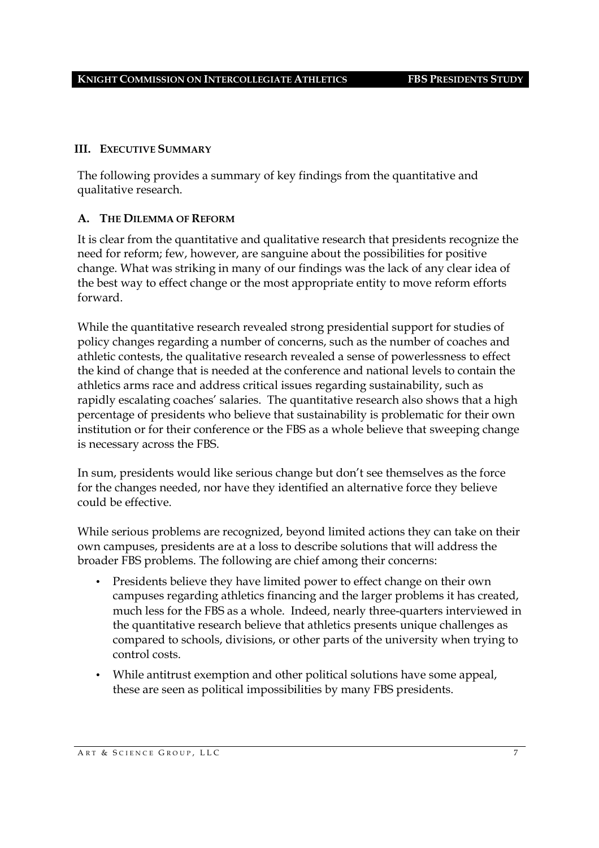## **III. EXECUTIVE SUMMARY**

The following provides a summary of key findings from the quantitative and qualitative research.

## **A. THE DILEMMA OF REFORM**

It is clear from the quantitative and qualitative research that presidents recognize the need for reform; few, however, are sanguine about the possibilities for positive change. What was striking in many of our findings was the lack of any clear idea of the best way to effect change or the most appropriate entity to move reform efforts forward.

While the quantitative research revealed strong presidential support for studies of policy changes regarding a number of concerns, such as the number of coaches and athletic contests, the qualitative research revealed a sense of powerlessness to effect the kind of change that is needed at the conference and national levels to contain the athletics arms race and address critical issues regarding sustainability, such as rapidly escalating coaches' salaries. The quantitative research also shows that a high percentage of presidents who believe that sustainability is problematic for their own institution or for their conference or the FBS as a whole believe that sweeping change is necessary across the FBS.

In sum, presidents would like serious change but don't see themselves as the force for the changes needed, nor have they identified an alternative force they believe could be effective.

While serious problems are recognized, beyond limited actions they can take on their own campuses, presidents are at a loss to describe solutions that will address the broader FBS problems. The following are chief among their concerns:

- Presidents believe they have limited power to effect change on their own campuses regarding athletics financing and the larger problems it has created, much less for the FBS as a whole. Indeed, nearly three-quarters interviewed in the quantitative research believe that athletics presents unique challenges as compared to schools, divisions, or other parts of the university when trying to control costs.
- While antitrust exemption and other political solutions have some appeal, these are seen as political impossibilities by many FBS presidents.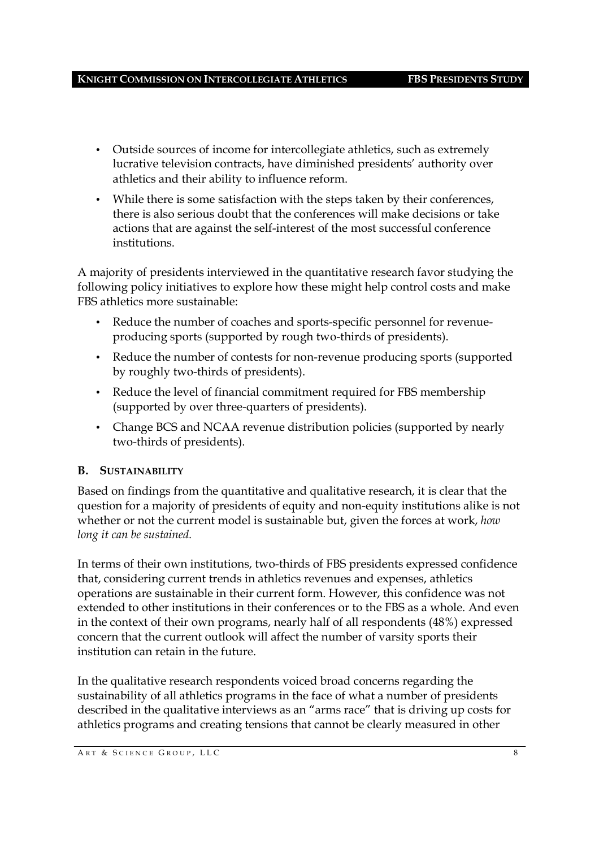- Outside sources of income for intercollegiate athletics, such as extremely lucrative television contracts, have diminished presidents' authority over athletics and their ability to influence reform.
- While there is some satisfaction with the steps taken by their conferences, there is also serious doubt that the conferences will make decisions or take actions that are against the self-interest of the most successful conference institutions.

A majority of presidents interviewed in the quantitative research favor studying the following policy initiatives to explore how these might help control costs and make FBS athletics more sustainable:

- Reduce the number of coaches and sports-specific personnel for revenueproducing sports (supported by rough two-thirds of presidents).
- Reduce the number of contests for non-revenue producing sports (supported by roughly two-thirds of presidents).
- Reduce the level of financial commitment required for FBS membership (supported by over three-quarters of presidents).
- Change BCS and NCAA revenue distribution policies (supported by nearly two-thirds of presidents).

## **B. SUSTAINABILITY**

Based on findings from the quantitative and qualitative research, it is clear that the question for a majority of presidents of equity and non-equity institutions alike is not whether or not the current model is sustainable but, given the forces at work, *how long it can be sustained.*

In terms of their own institutions, two-thirds of FBS presidents expressed confidence that, considering current trends in athletics revenues and expenses, athletics operations are sustainable in their current form. However, this confidence was not extended to other institutions in their conferences or to the FBS as a whole. And even in the context of their own programs, nearly half of all respondents (48%) expressed concern that the current outlook will affect the number of varsity sports their institution can retain in the future.

In the qualitative research respondents voiced broad concerns regarding the sustainability of all athletics programs in the face of what a number of presidents described in the qualitative interviews as an "arms race" that is driving up costs for athletics programs and creating tensions that cannot be clearly measured in other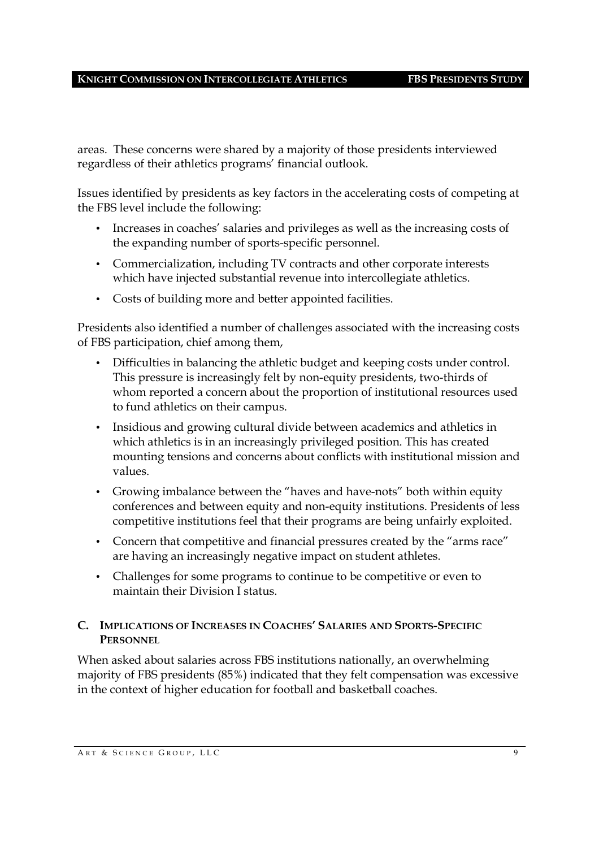#### **KNIGHT COMMISSION ON INTERCOLLEGIATE ATHLETICS FBS PRESIDENTS STUDY**

areas. These concerns were shared by a majority of those presidents interviewed regardless of their athletics programs' financial outlook.

Issues identified by presidents as key factors in the accelerating costs of competing at the FBS level include the following:

- Increases in coaches' salaries and privileges as well as the increasing costs of the expanding number of sports-specific personnel.
- Commercialization, including TV contracts and other corporate interests which have injected substantial revenue into intercollegiate athletics.
- Costs of building more and better appointed facilities.

Presidents also identified a number of challenges associated with the increasing costs of FBS participation, chief among them,

- Difficulties in balancing the athletic budget and keeping costs under control. This pressure is increasingly felt by non-equity presidents, two-thirds of whom reported a concern about the proportion of institutional resources used to fund athletics on their campus.
- Insidious and growing cultural divide between academics and athletics in which athletics is in an increasingly privileged position. This has created mounting tensions and concerns about conflicts with institutional mission and values.
- Growing imbalance between the "haves and have-nots" both within equity conferences and between equity and non-equity institutions. Presidents of less competitive institutions feel that their programs are being unfairly exploited.
- Concern that competitive and financial pressures created by the "arms race" are having an increasingly negative impact on student athletes.
- Challenges for some programs to continue to be competitive or even to maintain their Division I status.

## **C. IMPLICATIONS OF INCREASES IN COACHES' SALARIES AND SPORTS-SPECIFIC PERSONNEL**

When asked about salaries across FBS institutions nationally, an overwhelming majority of FBS presidents (85%) indicated that they felt compensation was excessive in the context of higher education for football and basketball coaches.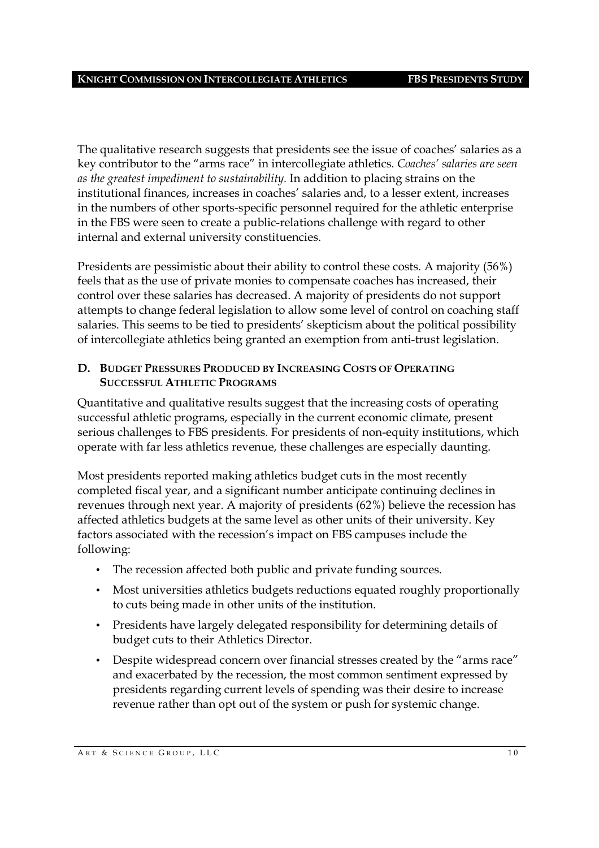The qualitative research suggests that presidents see the issue of coaches' salaries as a key contributor to the "arms race" in intercollegiate athletics. *Coaches' salaries are seen as the greatest impediment to sustainability.* In addition to placing strains on the institutional finances, increases in coaches' salaries and, to a lesser extent, increases in the numbers of other sports-specific personnel required for the athletic enterprise in the FBS were seen to create a public-relations challenge with regard to other internal and external university constituencies.

Presidents are pessimistic about their ability to control these costs. A majority (56%) feels that as the use of private monies to compensate coaches has increased, their control over these salaries has decreased. A majority of presidents do not support attempts to change federal legislation to allow some level of control on coaching staff salaries. This seems to be tied to presidents' skepticism about the political possibility of intercollegiate athletics being granted an exemption from anti-trust legislation.

# **D. BUDGET PRESSURES PRODUCED BY INCREASING COSTS OF OPERATING SUCCESSFUL ATHLETIC PROGRAMS**

Quantitative and qualitative results suggest that the increasing costs of operating successful athletic programs, especially in the current economic climate, present serious challenges to FBS presidents. For presidents of non-equity institutions, which operate with far less athletics revenue, these challenges are especially daunting.

Most presidents reported making athletics budget cuts in the most recently completed fiscal year, and a significant number anticipate continuing declines in revenues through next year. A majority of presidents (62%) believe the recession has affected athletics budgets at the same level as other units of their university. Key factors associated with the recession's impact on FBS campuses include the following:

- The recession affected both public and private funding sources.
- Most universities athletics budgets reductions equated roughly proportionally to cuts being made in other units of the institution.
- Presidents have largely delegated responsibility for determining details of budget cuts to their Athletics Director.
- Despite widespread concern over financial stresses created by the "arms race" and exacerbated by the recession, the most common sentiment expressed by presidents regarding current levels of spending was their desire to increase revenue rather than opt out of the system or push for systemic change.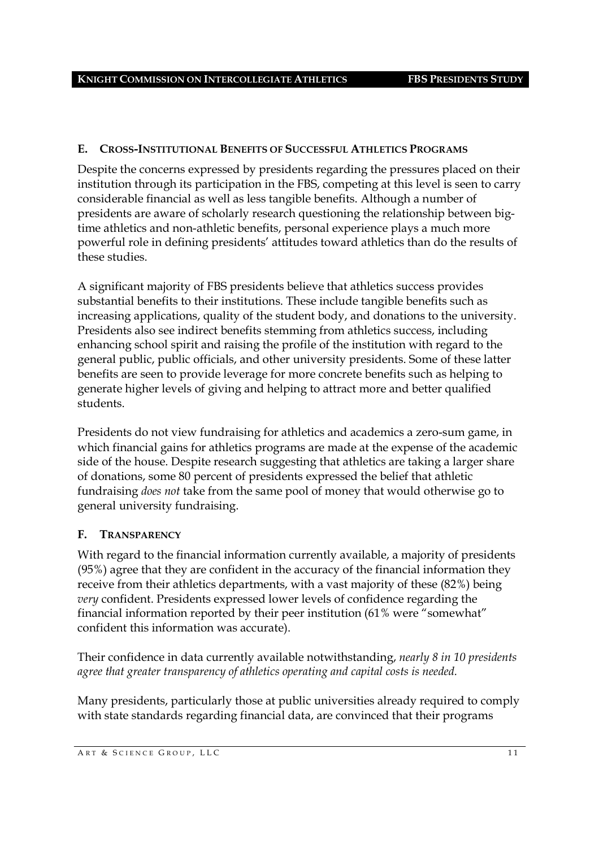## **E. CROSS-INSTITUTIONAL BENEFITS OF SUCCESSFUL ATHLETICS PROGRAMS**

Despite the concerns expressed by presidents regarding the pressures placed on their institution through its participation in the FBS, competing at this level is seen to carry considerable financial as well as less tangible benefits. Although a number of presidents are aware of scholarly research questioning the relationship between bigtime athletics and non-athletic benefits, personal experience plays a much more powerful role in defining presidents' attitudes toward athletics than do the results of these studies.

A significant majority of FBS presidents believe that athletics success provides substantial benefits to their institutions. These include tangible benefits such as increasing applications, quality of the student body, and donations to the university. Presidents also see indirect benefits stemming from athletics success, including enhancing school spirit and raising the profile of the institution with regard to the general public, public officials, and other university presidents. Some of these latter benefits are seen to provide leverage for more concrete benefits such as helping to generate higher levels of giving and helping to attract more and better qualified students.

Presidents do not view fundraising for athletics and academics a zero-sum game, in which financial gains for athletics programs are made at the expense of the academic side of the house. Despite research suggesting that athletics are taking a larger share of donations, some 80 percent of presidents expressed the belief that athletic fundraising *does not* take from the same pool of money that would otherwise go to general university fundraising.

## **F. TRANSPARENCY**

With regard to the financial information currently available, a majority of presidents (95%) agree that they are confident in the accuracy of the financial information they receive from their athletics departments, with a vast majority of these (82%) being *very* confident. Presidents expressed lower levels of confidence regarding the financial information reported by their peer institution (61% were "somewhat" confident this information was accurate).

Their confidence in data currently available notwithstanding, *nearly 8 in 10 presidents agree that greater transparency of athletics operating and capital costs is needed.*

Many presidents, particularly those at public universities already required to comply with state standards regarding financial data, are convinced that their programs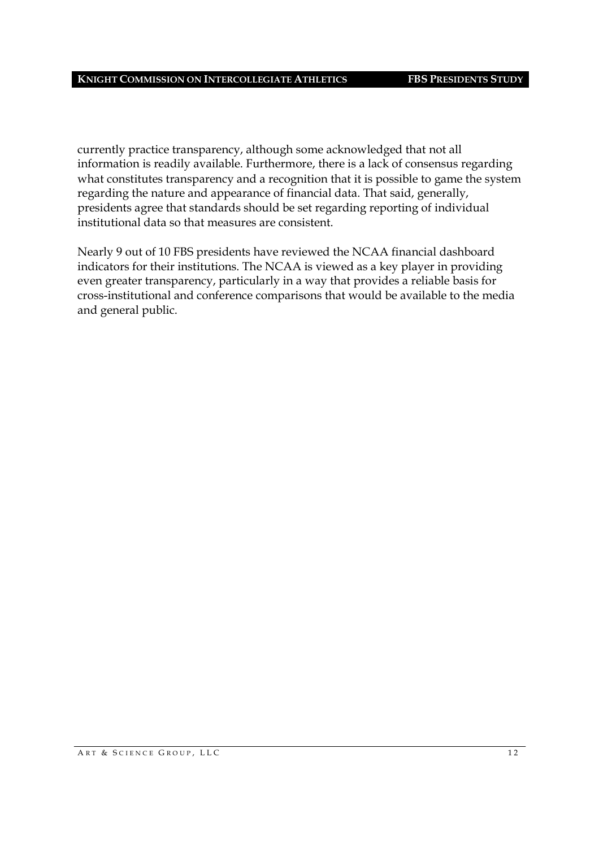currently practice transparency, although some acknowledged that not all information is readily available. Furthermore, there is a lack of consensus regarding what constitutes transparency and a recognition that it is possible to game the system regarding the nature and appearance of financial data. That said, generally, presidents agree that standards should be set regarding reporting of individual institutional data so that measures are consistent.

Nearly 9 out of 10 FBS presidents have reviewed the NCAA financial dashboard indicators for their institutions. The NCAA is viewed as a key player in providing even greater transparency, particularly in a way that provides a reliable basis for cross-institutional and conference comparisons that would be available to the media and general public.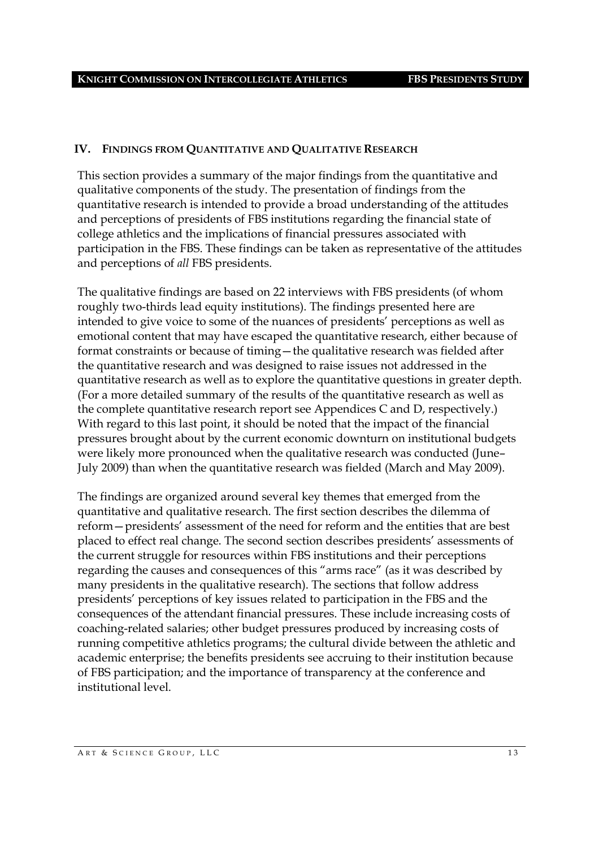#### **IV. FINDINGS FROM QUANTITATIVE AND QUALITATIVE RESEARCH**

This section provides a summary of the major findings from the quantitative and qualitative components of the study. The presentation of findings from the quantitative research is intended to provide a broad understanding of the attitudes and perceptions of presidents of FBS institutions regarding the financial state of college athletics and the implications of financial pressures associated with participation in the FBS. These findings can be taken as representative of the attitudes and perceptions of *all* FBS presidents.

The qualitative findings are based on 22 interviews with FBS presidents (of whom roughly two-thirds lead equity institutions). The findings presented here are intended to give voice to some of the nuances of presidents' perceptions as well as emotional content that may have escaped the quantitative research, either because of format constraints or because of timing—the qualitative research was fielded after the quantitative research and was designed to raise issues not addressed in the quantitative research as well as to explore the quantitative questions in greater depth. (For a more detailed summary of the results of the quantitative research as well as the complete quantitative research report see Appendices C and D, respectively.) With regard to this last point, it should be noted that the impact of the financial pressures brought about by the current economic downturn on institutional budgets were likely more pronounced when the qualitative research was conducted (June– July 2009) than when the quantitative research was fielded (March and May 2009).

The findings are organized around several key themes that emerged from the quantitative and qualitative research. The first section describes the dilemma of reform—presidents' assessment of the need for reform and the entities that are best placed to effect real change. The second section describes presidents' assessments of the current struggle for resources within FBS institutions and their perceptions regarding the causes and consequences of this "arms race" (as it was described by many presidents in the qualitative research). The sections that follow address presidents' perceptions of key issues related to participation in the FBS and the consequences of the attendant financial pressures. These include increasing costs of coaching-related salaries; other budget pressures produced by increasing costs of running competitive athletics programs; the cultural divide between the athletic and academic enterprise; the benefits presidents see accruing to their institution because of FBS participation; and the importance of transparency at the conference and institutional level.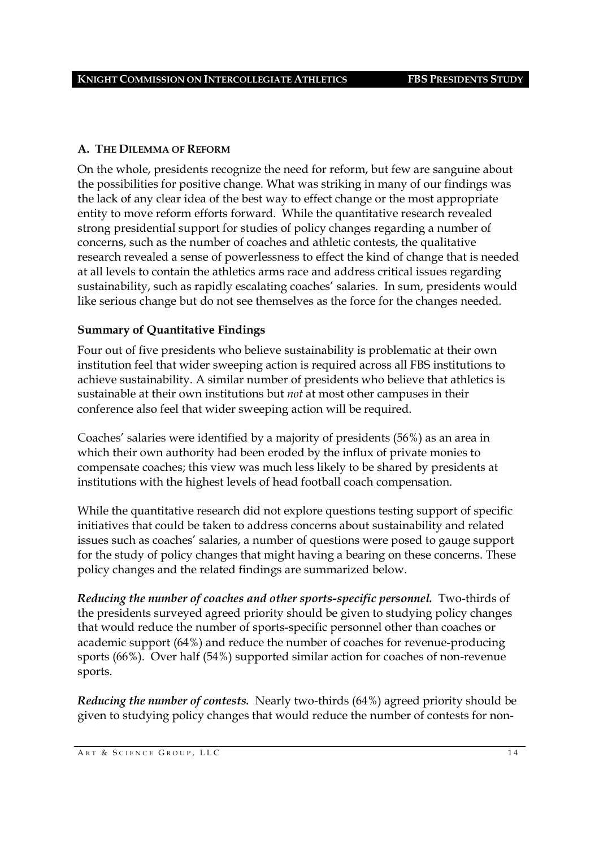#### **A. THE DILEMMA OF REFORM**

On the whole, presidents recognize the need for reform, but few are sanguine about the possibilities for positive change. What was striking in many of our findings was the lack of any clear idea of the best way to effect change or the most appropriate entity to move reform efforts forward. While the quantitative research revealed strong presidential support for studies of policy changes regarding a number of concerns, such as the number of coaches and athletic contests, the qualitative research revealed a sense of powerlessness to effect the kind of change that is needed at all levels to contain the athletics arms race and address critical issues regarding sustainability, such as rapidly escalating coaches' salaries. In sum, presidents would like serious change but do not see themselves as the force for the changes needed.

#### **Summary of Quantitative Findings**

Four out of five presidents who believe sustainability is problematic at their own institution feel that wider sweeping action is required across all FBS institutions to achieve sustainability. A similar number of presidents who believe that athletics is sustainable at their own institutions but *not* at most other campuses in their conference also feel that wider sweeping action will be required.

Coaches' salaries were identified by a majority of presidents (56%) as an area in which their own authority had been eroded by the influx of private monies to compensate coaches; this view was much less likely to be shared by presidents at institutions with the highest levels of head football coach compensation.

While the quantitative research did not explore questions testing support of specific initiatives that could be taken to address concerns about sustainability and related issues such as coaches' salaries, a number of questions were posed to gauge support for the study of policy changes that might having a bearing on these concerns. These policy changes and the related findings are summarized below.

*Reducing the number of coaches and other sports-specific personnel.* Two-thirds of the presidents surveyed agreed priority should be given to studying policy changes that would reduce the number of sports-specific personnel other than coaches or academic support (64%) and reduce the number of coaches for revenue-producing sports (66%). Over half (54%) supported similar action for coaches of non-revenue sports.

*Reducing the number of contests.* Nearly two-thirds (64%) agreed priority should be given to studying policy changes that would reduce the number of contests for non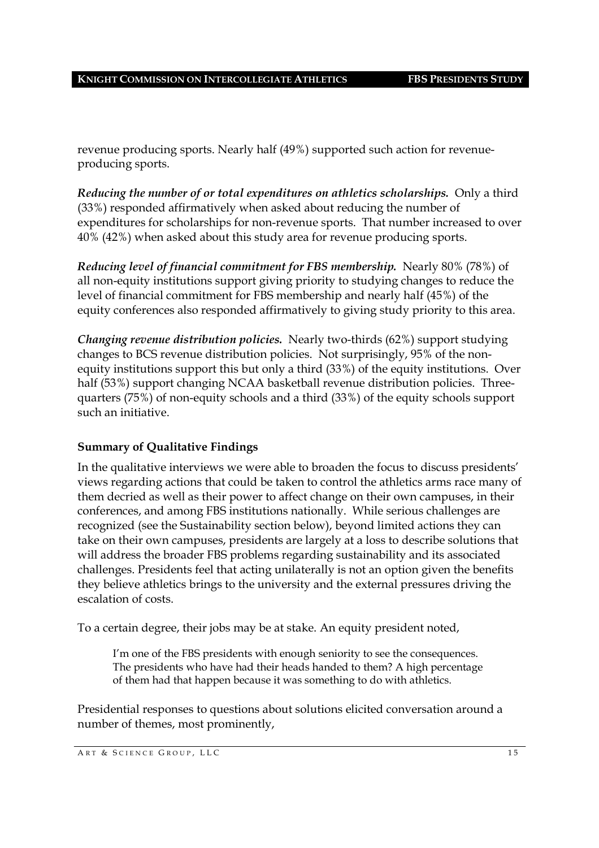revenue producing sports. Nearly half (49%) supported such action for revenueproducing sports.

*Reducing the number of or total expenditures on athletics scholarships.* Only a third (33%) responded affirmatively when asked about reducing the number of expenditures for scholarships for non-revenue sports. That number increased to over 40% (42%) when asked about this study area for revenue producing sports.

*Reducing level of financial commitment for FBS membership.* Nearly 80% (78%) of all non-equity institutions support giving priority to studying changes to reduce the level of financial commitment for FBS membership and nearly half (45%) of the equity conferences also responded affirmatively to giving study priority to this area.

*Changing revenue distribution policies.* Nearly two-thirds (62%) support studying changes to BCS revenue distribution policies. Not surprisingly, 95% of the nonequity institutions support this but only a third (33%) of the equity institutions.Over half (53%) support changing NCAA basketball revenue distribution policies. Threequarters (75%) of non-equity schools and a third (33%) of the equity schools support such an initiative.

#### **Summary of Qualitative Findings**

In the qualitative interviews we were able to broaden the focus to discuss presidents' views regarding actions that could be taken to control the athletics arms race many of them decried as well as their power to affect change on their own campuses, in their conferences, and among FBS institutions nationally. While serious challenges are recognized (see the Sustainability section below), beyond limited actions they can take on their own campuses, presidents are largely at a loss to describe solutions that will address the broader FBS problems regarding sustainability and its associated challenges. Presidents feel that acting unilaterally is not an option given the benefits they believe athletics brings to the university and the external pressures driving the escalation of costs.

To a certain degree, their jobs may be at stake. An equity president noted,

I'm one of the FBS presidents with enough seniority to see the consequences. The presidents who have had their heads handed to them? A high percentage of them had that happen because it was something to do with athletics.

Presidential responses to questions about solutions elicited conversation around a number of themes, most prominently,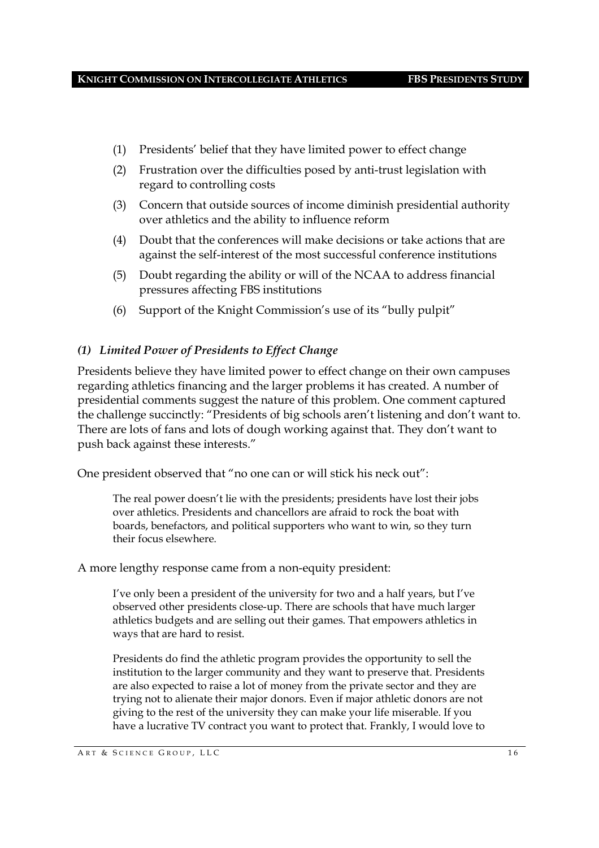- (1) Presidents' belief that they have limited power to effect change
- (2) Frustration over the difficulties posed by anti-trust legislation with regard to controlling costs
- (3) Concern that outside sources of income diminish presidential authority over athletics and the ability to influence reform
- (4) Doubt that the conferences will make decisions or take actions that are against the self-interest of the most successful conference institutions
- (5) Doubt regarding the ability or will of the NCAA to address financial pressures affecting FBS institutions
- (6) Support of the Knight Commission's use of its "bully pulpit"

#### *(1) Limited Power of Presidents to Effect Change*

Presidents believe they have limited power to effect change on their own campuses regarding athletics financing and the larger problems it has created. A number of presidential comments suggest the nature of this problem. One comment captured the challenge succinctly: "Presidents of big schools aren't listening and don't want to. There are lots of fans and lots of dough working against that. They don't want to push back against these interests."

One president observed that "no one can or will stick his neck out":

The real power doesn't lie with the presidents; presidents have lost their jobs over athletics. Presidents and chancellors are afraid to rock the boat with boards, benefactors, and political supporters who want to win, so they turn their focus elsewhere.

A more lengthy response came from a non-equity president:

I've only been a president of the university for two and a half years, but I've observed other presidents close-up. There are schools that have much larger athletics budgets and are selling out their games. That empowers athletics in ways that are hard to resist.

Presidents do find the athletic program provides the opportunity to sell the institution to the larger community and they want to preserve that. Presidents are also expected to raise a lot of money from the private sector and they are trying not to alienate their major donors. Even if major athletic donors are not giving to the rest of the university they can make your life miserable. If you have a lucrative TV contract you want to protect that. Frankly, I would love to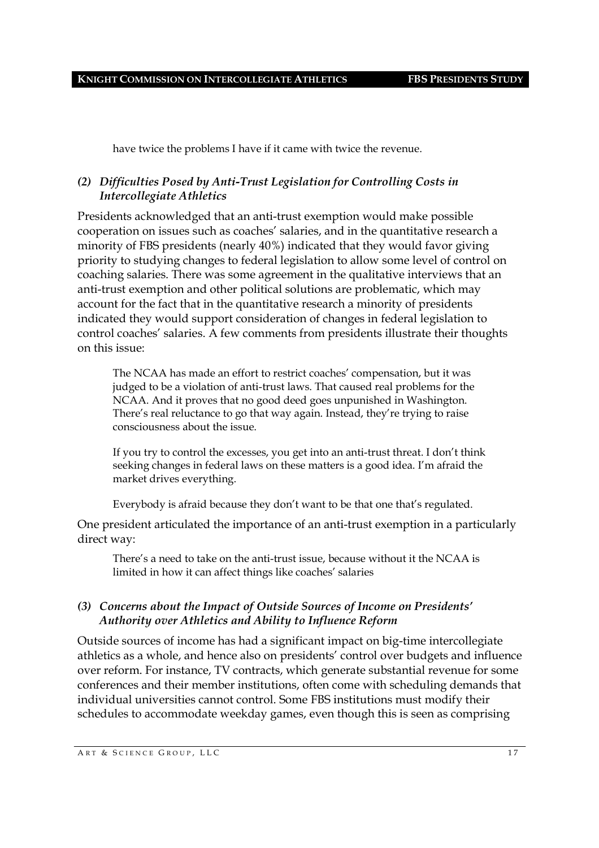have twice the problems I have if it came with twice the revenue.

## *(2) Difficulties Posed by Anti-Trust Legislation for Controlling Costs in Intercollegiate Athletics*

Presidents acknowledged that an anti-trust exemption would make possible cooperation on issues such as coaches' salaries, and in the quantitative research a minority of FBS presidents (nearly 40%) indicated that they would favor giving priority to studying changes to federal legislation to allow some level of control on coaching salaries. There was some agreement in the qualitative interviews that an anti-trust exemption and other political solutions are problematic, which may account for the fact that in the quantitative research a minority of presidents indicated they would support consideration of changes in federal legislation to control coaches' salaries. A few comments from presidents illustrate their thoughts on this issue:

The NCAA has made an effort to restrict coaches' compensation, but it was judged to be a violation of anti-trust laws. That caused real problems for the NCAA. And it proves that no good deed goes unpunished in Washington. There's real reluctance to go that way again. Instead, they're trying to raise consciousness about the issue.

If you try to control the excesses, you get into an anti-trust threat. I don't think seeking changes in federal laws on these matters is a good idea. I'm afraid the market drives everything.

Everybody is afraid because they don't want to be that one that's regulated.

One president articulated the importance of an anti-trust exemption in a particularly direct way:

There's a need to take on the anti-trust issue, because without it the NCAA is limited in how it can affect things like coaches' salaries

## *(3) Concerns about the Impact of Outside Sources of Income on Presidents' Authority over Athletics and Ability to Influence Reform*

Outside sources of income has had a significant impact on big-time intercollegiate athletics as a whole, and hence also on presidents' control over budgets and influence over reform. For instance, TV contracts, which generate substantial revenue for some conferences and their member institutions, often come with scheduling demands that individual universities cannot control. Some FBS institutions must modify their schedules to accommodate weekday games, even though this is seen as comprising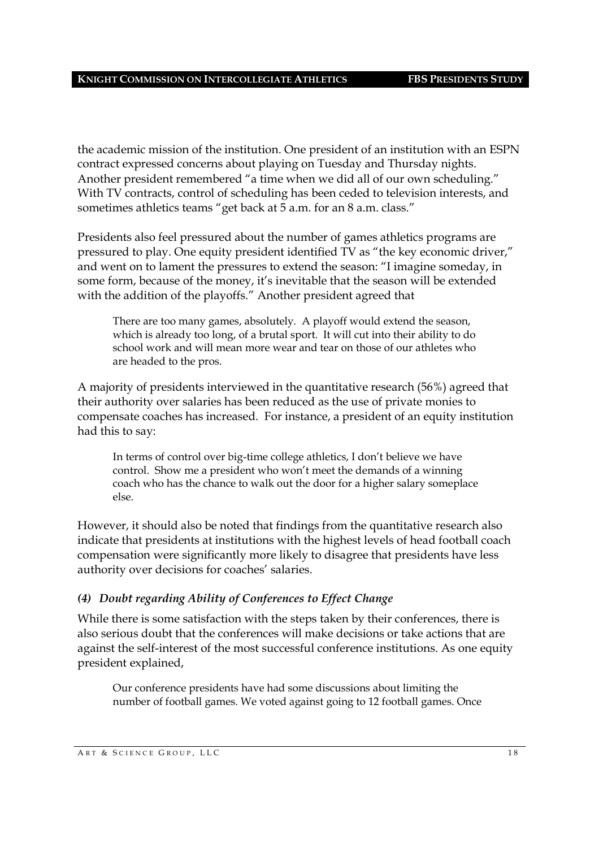the academic mission of the institution. One president of an institution with an ESPN contract expressed concerns about playing on Tuesday and Thursday nights. Another president remembered "a time when we did all of our own scheduling." With TV contracts, control of scheduling has been ceded to television interests, and sometimes athletics teams "get back at 5 a.m. for an 8 a.m. class."

Presidents also feel pressured about the number of games athletics programs are pressured to play. One equity president identified TV as "the key economic driver," and went on to lament the pressures to extend the season: "I imagine someday, in some form, because of the money, it's inevitable that the season will be extended with the addition of the playoffs." Another president agreed that

There are too many games, absolutely. A playoff would extend the season, which is already too long, of a brutal sport. It will cut into their ability to do school work and will mean more wear and tear on those of our athletes who are headed to the pros.

A majority of presidents interviewed in the quantitative research (56%) agreed that their authority over salaries has been reduced as the use of private monies to compensate coaches has increased. For instance, a president of an equity institution had this to say:

In terms of control over big-time college athletics, I don't believe we have control. Show me a president who won't meet the demands of a winning coach who has the chance to walk out the door for a higher salary someplace else.

However, it should also be noted that findings from the quantitative research also indicate that presidents at institutions with the highest levels of head football coach compensation were significantly more likely to disagree that presidents have less authority over decisions for coaches' salaries.

# *(4) Doubt regarding Ability of Conferences to Effect Change*

While there is some satisfaction with the steps taken by their conferences, there is also serious doubt that the conferences will make decisions or take actions that are against the self-interest of the most successful conference institutions. As one equity president explained,

Our conference presidents have had some discussions about limiting the number of football games. We voted against going to 12 football games. Once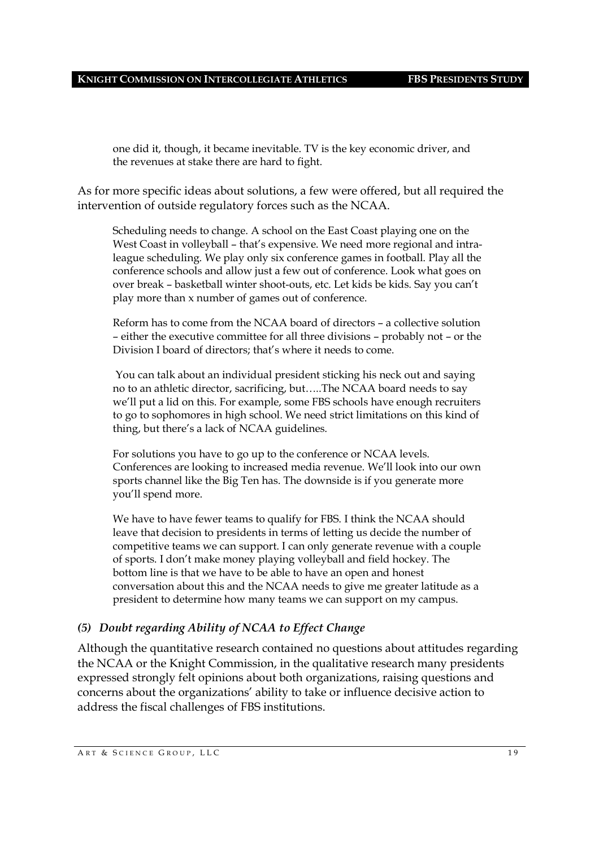one did it, though, it became inevitable. TV is the key economic driver, and the revenues at stake there are hard to fight.

As for more specific ideas about solutions, a few were offered, but all required the intervention of outside regulatory forces such as the NCAA.

Scheduling needs to change. A school on the East Coast playing one on the West Coast in volleyball – that's expensive. We need more regional and intraleague scheduling. We play only six conference games in football. Play all the conference schools and allow just a few out of conference. Look what goes on over break – basketball winter shoot-outs, etc. Let kids be kids. Say you can't play more than x number of games out of conference.

Reform has to come from the NCAA board of directors – a collective solution – either the executive committee for all three divisions – probably not – or the Division I board of directors; that's where it needs to come.

 You can talk about an individual president sticking his neck out and saying no to an athletic director, sacrificing, but…..The NCAA board needs to say we'll put a lid on this. For example, some FBS schools have enough recruiters to go to sophomores in high school. We need strict limitations on this kind of thing, but there's a lack of NCAA guidelines.

For solutions you have to go up to the conference or NCAA levels. Conferences are looking to increased media revenue. We'll look into our own sports channel like the Big Ten has. The downside is if you generate more you'll spend more.

We have to have fewer teams to qualify for FBS. I think the NCAA should leave that decision to presidents in terms of letting us decide the number of competitive teams we can support. I can only generate revenue with a couple of sports. I don't make money playing volleyball and field hockey. The bottom line is that we have to be able to have an open and honest conversation about this and the NCAA needs to give me greater latitude as a president to determine how many teams we can support on my campus.

#### *(5) Doubt regarding Ability of NCAA to Effect Change*

Although the quantitative research contained no questions about attitudes regarding the NCAA or the Knight Commission, in the qualitative research many presidents expressed strongly felt opinions about both organizations, raising questions and concerns about the organizations' ability to take or influence decisive action to address the fiscal challenges of FBS institutions.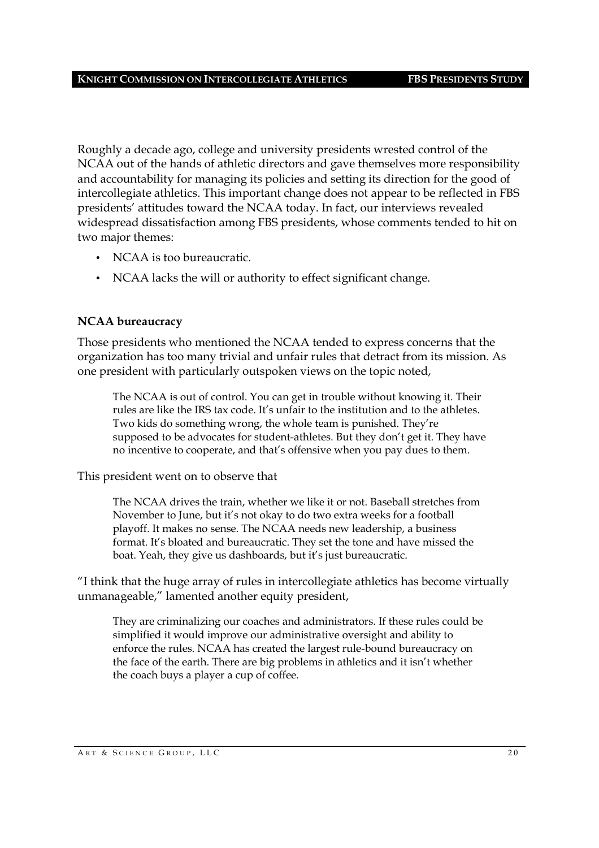Roughly a decade ago, college and university presidents wrested control of the NCAA out of the hands of athletic directors and gave themselves more responsibility and accountability for managing its policies and setting its direction for the good of intercollegiate athletics. This important change does not appear to be reflected in FBS presidents' attitudes toward the NCAA today. In fact, our interviews revealed widespread dissatisfaction among FBS presidents, whose comments tended to hit on two major themes:

- NCAA is too bureaucratic.
- NCAA lacks the will or authority to effect significant change.

## **NCAA bureaucracy**

Those presidents who mentioned the NCAA tended to express concerns that the organization has too many trivial and unfair rules that detract from its mission. As one president with particularly outspoken views on the topic noted,

The NCAA is out of control. You can get in trouble without knowing it. Their rules are like the IRS tax code. It's unfair to the institution and to the athletes. Two kids do something wrong, the whole team is punished. They're supposed to be advocates for student-athletes. But they don't get it. They have no incentive to cooperate, and that's offensive when you pay dues to them.

This president went on to observe that

The NCAA drives the train, whether we like it or not. Baseball stretches from November to June, but it's not okay to do two extra weeks for a football playoff. It makes no sense. The NCAA needs new leadership, a business format. It's bloated and bureaucratic. They set the tone and have missed the boat. Yeah, they give us dashboards, but it's just bureaucratic.

"I think that the huge array of rules in intercollegiate athletics has become virtually unmanageable," lamented another equity president,

They are criminalizing our coaches and administrators. If these rules could be simplified it would improve our administrative oversight and ability to enforce the rules. NCAA has created the largest rule-bound bureaucracy on the face of the earth. There are big problems in athletics and it isn't whether the coach buys a player a cup of coffee.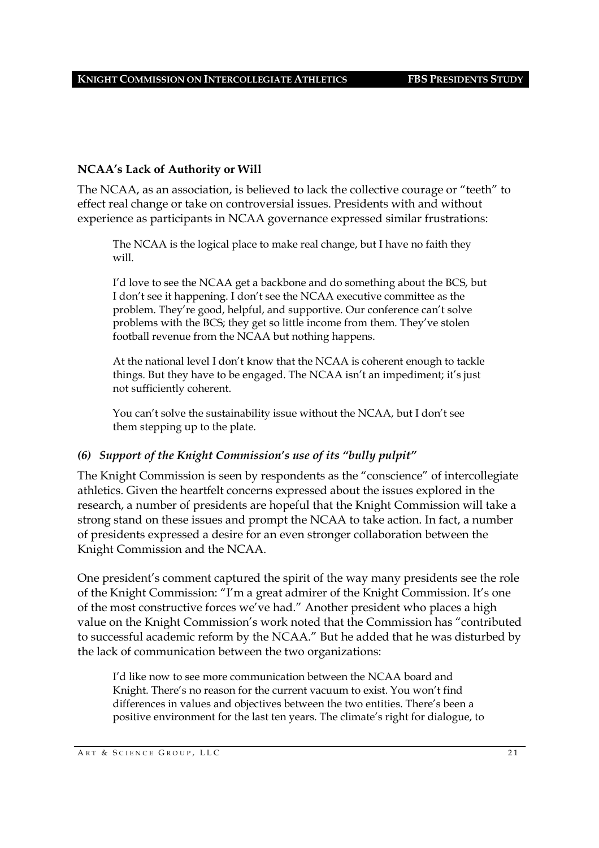## **NCAA's Lack of Authority or Will**

The NCAA, as an association, is believed to lack the collective courage or "teeth" to effect real change or take on controversial issues. Presidents with and without experience as participants in NCAA governance expressed similar frustrations:

The NCAA is the logical place to make real change, but I have no faith they will.

I'd love to see the NCAA get a backbone and do something about the BCS, but I don't see it happening. I don't see the NCAA executive committee as the problem. They're good, helpful, and supportive. Our conference can't solve problems with the BCS; they get so little income from them. They've stolen football revenue from the NCAA but nothing happens.

At the national level I don't know that the NCAA is coherent enough to tackle things. But they have to be engaged. The NCAA isn't an impediment; it's just not sufficiently coherent.

You can't solve the sustainability issue without the NCAA, but I don't see them stepping up to the plate.

#### *(6) Support of the Knight Commission's use of its "bully pulpit"*

The Knight Commission is seen by respondents as the "conscience" of intercollegiate athletics. Given the heartfelt concerns expressed about the issues explored in the research, a number of presidents are hopeful that the Knight Commission will take a strong stand on these issues and prompt the NCAA to take action. In fact, a number of presidents expressed a desire for an even stronger collaboration between the Knight Commission and the NCAA.

One president's comment captured the spirit of the way many presidents see the role of the Knight Commission: "I'm a great admirer of the Knight Commission. It's one of the most constructive forces we've had." Another president who places a high value on the Knight Commission's work noted that the Commission has "contributed to successful academic reform by the NCAA." But he added that he was disturbed by the lack of communication between the two organizations:

I'd like now to see more communication between the NCAA board and Knight. There's no reason for the current vacuum to exist. You won't find differences in values and objectives between the two entities. There's been a positive environment for the last ten years. The climate's right for dialogue, to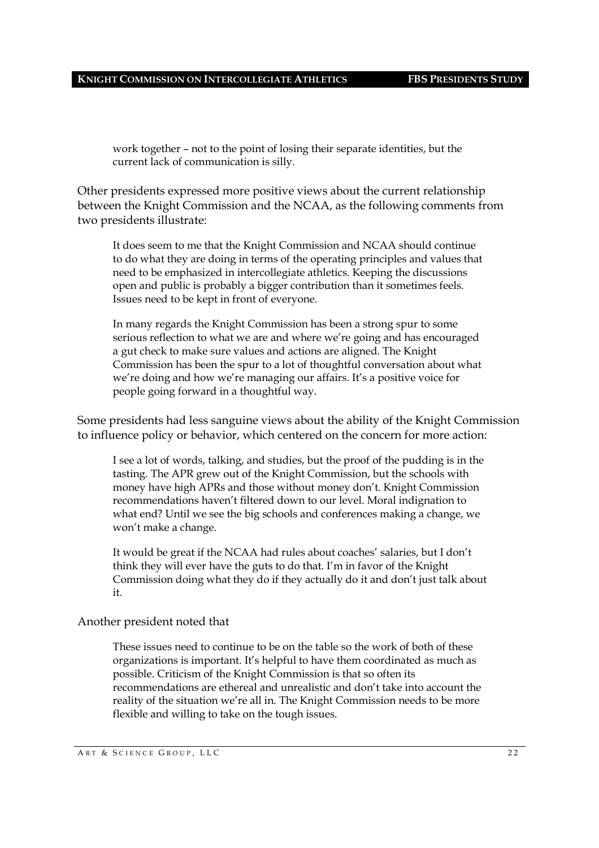work together – not to the point of losing their separate identities, but the current lack of communication is silly.

Other presidents expressed more positive views about the current relationship between the Knight Commission and the NCAA, as the following comments from two presidents illustrate:

It does seem to me that the Knight Commission and NCAA should continue to do what they are doing in terms of the operating principles and values that need to be emphasized in intercollegiate athletics. Keeping the discussions open and public is probably a bigger contribution than it sometimes feels. Issues need to be kept in front of everyone.

In many regards the Knight Commission has been a strong spur to some serious reflection to what we are and where we're going and has encouraged a gut check to make sure values and actions are aligned. The Knight Commission has been the spur to a lot of thoughtful conversation about what we're doing and how we're managing our affairs. It's a positive voice for people going forward in a thoughtful way.

Some presidents had less sanguine views about the ability of the Knight Commission to influence policy or behavior, which centered on the concern for more action:

I see a lot of words, talking, and studies, but the proof of the pudding is in the tasting. The APR grew out of the Knight Commission, but the schools with money have high APRs and those without money don't. Knight Commission recommendations haven't filtered down to our level. Moral indignation to what end? Until we see the big schools and conferences making a change, we won't make a change.

It would be great if the NCAA had rules about coaches' salaries, but I don't think they will ever have the guts to do that. I'm in favor of the Knight Commission doing what they do if they actually do it and don't just talk about it.

Another president noted that

These issues need to continue to be on the table so the work of both of these organizations is important. It's helpful to have them coordinated as much as possible. Criticism of the Knight Commission is that so often its recommendations are ethereal and unrealistic and don't take into account the reality of the situation we're all in. The Knight Commission needs to be more flexible and willing to take on the tough issues.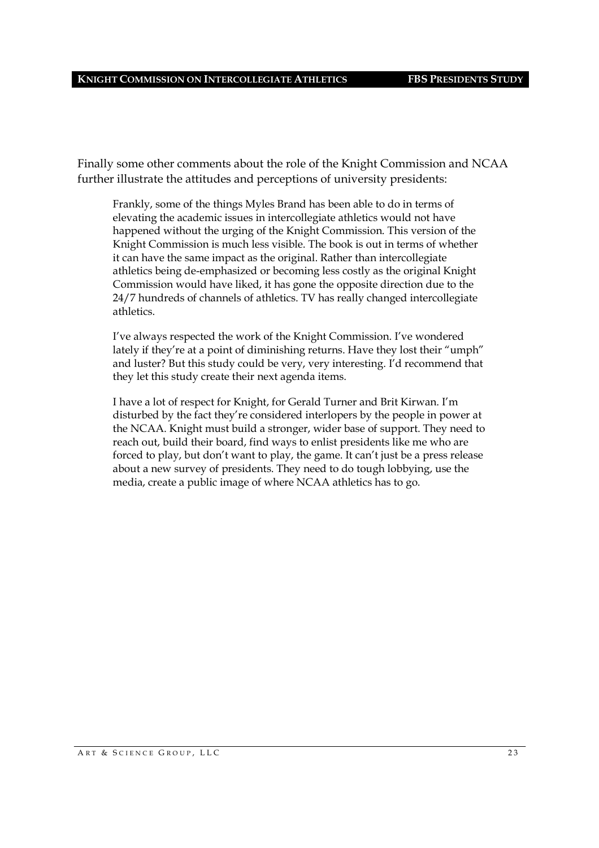Finally some other comments about the role of the Knight Commission and NCAA further illustrate the attitudes and perceptions of university presidents:

Frankly, some of the things Myles Brand has been able to do in terms of elevating the academic issues in intercollegiate athletics would not have happened without the urging of the Knight Commission. This version of the Knight Commission is much less visible. The book is out in terms of whether it can have the same impact as the original. Rather than intercollegiate athletics being de-emphasized or becoming less costly as the original Knight Commission would have liked, it has gone the opposite direction due to the 24/7 hundreds of channels of athletics. TV has really changed intercollegiate athletics.

I've always respected the work of the Knight Commission. I've wondered lately if they're at a point of diminishing returns. Have they lost their "umph" and luster? But this study could be very, very interesting. I'd recommend that they let this study create their next agenda items.

I have a lot of respect for Knight, for Gerald Turner and Brit Kirwan. I'm disturbed by the fact they're considered interlopers by the people in power at the NCAA. Knight must build a stronger, wider base of support. They need to reach out, build their board, find ways to enlist presidents like me who are forced to play, but don't want to play, the game. It can't just be a press release about a new survey of presidents. They need to do tough lobbying, use the media, create a public image of where NCAA athletics has to go.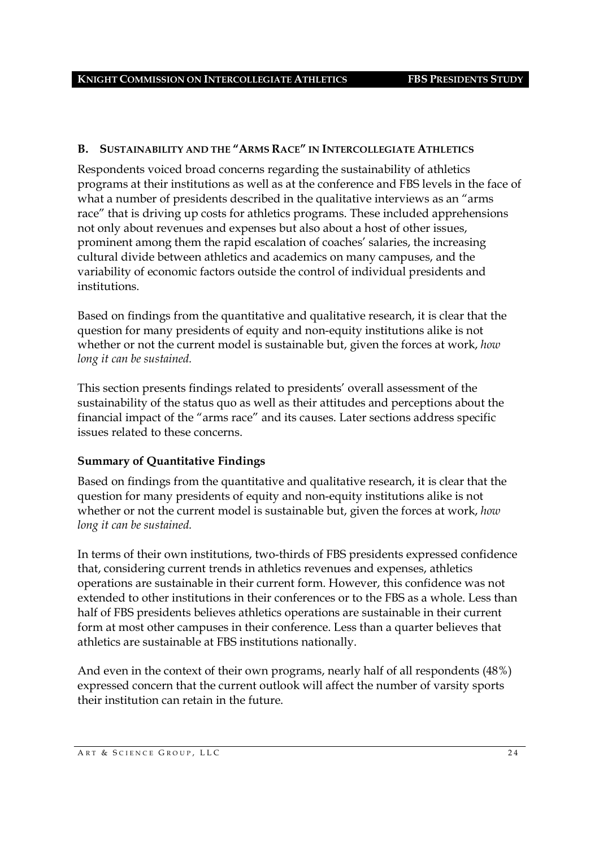## **B. SUSTAINABILITY AND THE "ARMS RACE" IN INTERCOLLEGIATE ATHLETICS**

Respondents voiced broad concerns regarding the sustainability of athletics programs at their institutions as well as at the conference and FBS levels in the face of what a number of presidents described in the qualitative interviews as an "arms" race" that is driving up costs for athletics programs. These included apprehensions not only about revenues and expenses but also about a host of other issues, prominent among them the rapid escalation of coaches' salaries, the increasing cultural divide between athletics and academics on many campuses, and the variability of economic factors outside the control of individual presidents and institutions.

Based on findings from the quantitative and qualitative research, it is clear that the question for many presidents of equity and non-equity institutions alike is not whether or not the current model is sustainable but, given the forces at work, *how long it can be sustained.*

This section presents findings related to presidents' overall assessment of the sustainability of the status quo as well as their attitudes and perceptions about the financial impact of the "arms race" and its causes. Later sections address specific issues related to these concerns.

## **Summary of Quantitative Findings**

Based on findings from the quantitative and qualitative research, it is clear that the question for many presidents of equity and non-equity institutions alike is not whether or not the current model is sustainable but, given the forces at work, *how long it can be sustained.*

In terms of their own institutions, two-thirds of FBS presidents expressed confidence that, considering current trends in athletics revenues and expenses, athletics operations are sustainable in their current form. However, this confidence was not extended to other institutions in their conferences or to the FBS as a whole. Less than half of FBS presidents believes athletics operations are sustainable in their current form at most other campuses in their conference. Less than a quarter believes that athletics are sustainable at FBS institutions nationally.

And even in the context of their own programs, nearly half of all respondents (48%) expressed concern that the current outlook will affect the number of varsity sports their institution can retain in the future.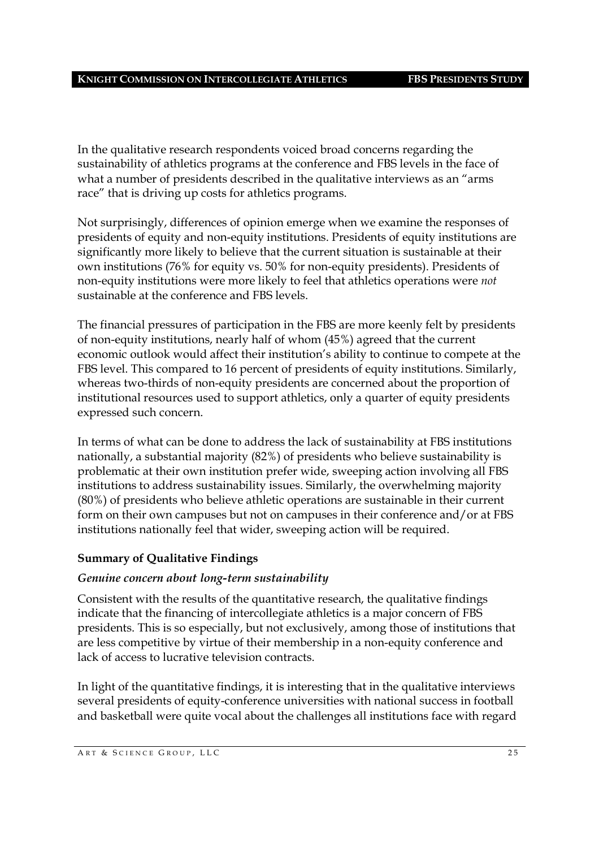In the qualitative research respondents voiced broad concerns regarding the sustainability of athletics programs at the conference and FBS levels in the face of what a number of presidents described in the qualitative interviews as an "arms race" that is driving up costs for athletics programs.

Not surprisingly, differences of opinion emerge when we examine the responses of presidents of equity and non-equity institutions. Presidents of equity institutions are significantly more likely to believe that the current situation is sustainable at their own institutions (76% for equity vs. 50% for non-equity presidents). Presidents of non-equity institutions were more likely to feel that athletics operations were *not* sustainable at the conference and FBS levels.

The financial pressures of participation in the FBS are more keenly felt by presidents of non-equity institutions, nearly half of whom (45%) agreed that the current economic outlook would affect their institution's ability to continue to compete at the FBS level. This compared to 16 percent of presidents of equity institutions. Similarly, whereas two-thirds of non-equity presidents are concerned about the proportion of institutional resources used to support athletics, only a quarter of equity presidents expressed such concern.

In terms of what can be done to address the lack of sustainability at FBS institutions nationally, a substantial majority (82%) of presidents who believe sustainability is problematic at their own institution prefer wide, sweeping action involving all FBS institutions to address sustainability issues. Similarly, the overwhelming majority (80%) of presidents who believe athletic operations are sustainable in their current form on their own campuses but not on campuses in their conference and/or at FBS institutions nationally feel that wider, sweeping action will be required.

# **Summary of Qualitative Findings**

## *Genuine concern about long-term sustainability*

Consistent with the results of the quantitative research, the qualitative findings indicate that the financing of intercollegiate athletics is a major concern of FBS presidents. This is so especially, but not exclusively, among those of institutions that are less competitive by virtue of their membership in a non-equity conference and lack of access to lucrative television contracts.

In light of the quantitative findings, it is interesting that in the qualitative interviews several presidents of equity-conference universities with national success in football and basketball were quite vocal about the challenges all institutions face with regard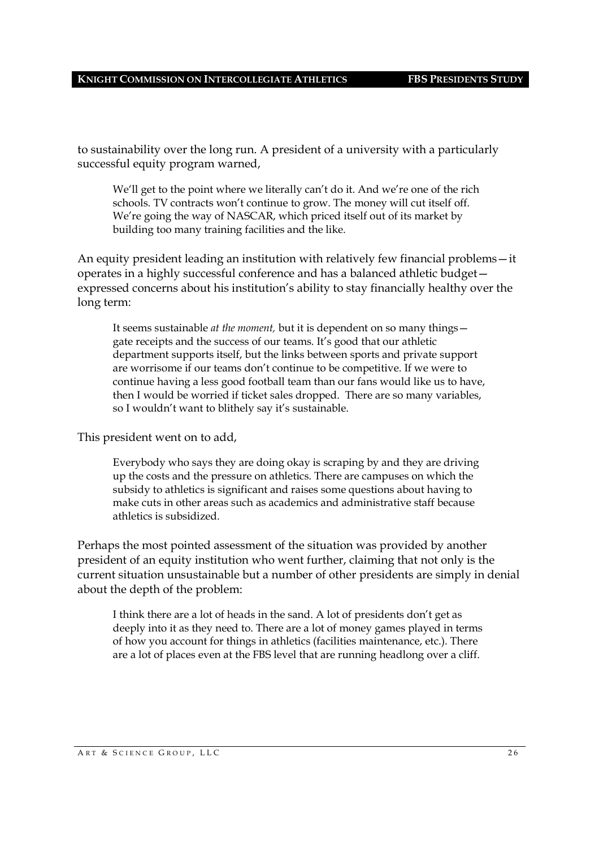to sustainability over the long run. A president of a university with a particularly successful equity program warned,

We'll get to the point where we literally can't do it. And we're one of the rich schools. TV contracts won't continue to grow. The money will cut itself off. We're going the way of NASCAR, which priced itself out of its market by building too many training facilities and the like.

An equity president leading an institution with relatively few financial problems—it operates in a highly successful conference and has a balanced athletic budget expressed concerns about his institution's ability to stay financially healthy over the long term:

It seems sustainable *at the moment,* but it is dependent on so many things gate receipts and the success of our teams. It's good that our athletic department supports itself, but the links between sports and private support are worrisome if our teams don't continue to be competitive. If we were to continue having a less good football team than our fans would like us to have, then I would be worried if ticket sales dropped. There are so many variables, so I wouldn't want to blithely say it's sustainable.

This president went on to add,

Everybody who says they are doing okay is scraping by and they are driving up the costs and the pressure on athletics. There are campuses on which the subsidy to athletics is significant and raises some questions about having to make cuts in other areas such as academics and administrative staff because athletics is subsidized.

Perhaps the most pointed assessment of the situation was provided by another president of an equity institution who went further, claiming that not only is the current situation unsustainable but a number of other presidents are simply in denial about the depth of the problem:

I think there are a lot of heads in the sand. A lot of presidents don't get as deeply into it as they need to. There are a lot of money games played in terms of how you account for things in athletics (facilities maintenance, etc.). There are a lot of places even at the FBS level that are running headlong over a cliff.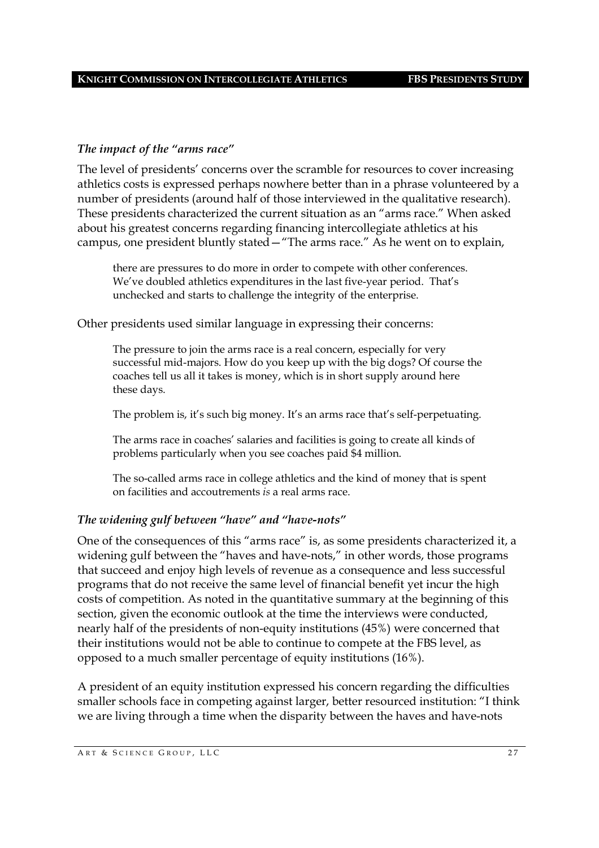#### *The impact of the "arms race"*

The level of presidents' concerns over the scramble for resources to cover increasing athletics costs is expressed perhaps nowhere better than in a phrase volunteered by a number of presidents (around half of those interviewed in the qualitative research). These presidents characterized the current situation as an "arms race." When asked about his greatest concerns regarding financing intercollegiate athletics at his campus, one president bluntly stated—"The arms race." As he went on to explain,

there are pressures to do more in order to compete with other conferences. We've doubled athletics expenditures in the last five-year period. That's unchecked and starts to challenge the integrity of the enterprise.

Other presidents used similar language in expressing their concerns:

The pressure to join the arms race is a real concern, especially for very successful mid-majors. How do you keep up with the big dogs? Of course the coaches tell us all it takes is money, which is in short supply around here these days.

The problem is, it's such big money. It's an arms race that's self-perpetuating.

The arms race in coaches' salaries and facilities is going to create all kinds of problems particularly when you see coaches paid \$4 million.

The so-called arms race in college athletics and the kind of money that is spent on facilities and accoutrements *is* a real arms race.

## *The widening gulf between "have" and "have-nots"*

One of the consequences of this "arms race" is, as some presidents characterized it, a widening gulf between the "haves and have-nots," in other words, those programs that succeed and enjoy high levels of revenue as a consequence and less successful programs that do not receive the same level of financial benefit yet incur the high costs of competition. As noted in the quantitative summary at the beginning of this section, given the economic outlook at the time the interviews were conducted, nearly half of the presidents of non-equity institutions (45%) were concerned that their institutions would not be able to continue to compete at the FBS level, as opposed to a much smaller percentage of equity institutions (16%).

A president of an equity institution expressed his concern regarding the difficulties smaller schools face in competing against larger, better resourced institution: "I think we are living through a time when the disparity between the haves and have-nots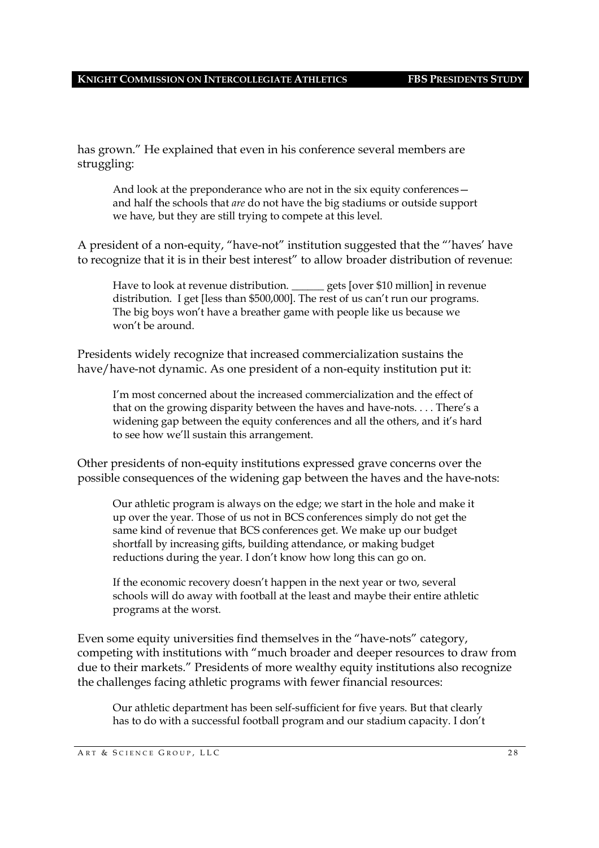has grown." He explained that even in his conference several members are struggling:

And look at the preponderance who are not in the six equity conferences and half the schools that *are* do not have the big stadiums or outside support we have, but they are still trying to compete at this level.

A president of a non-equity, "have-not" institution suggested that the "'haves' have to recognize that it is in their best interest" to allow broader distribution of revenue:

Have to look at revenue distribution. \_\_\_\_\_\_ gets [over \$10 million] in revenue distribution. I get [less than \$500,000]. The rest of us can't run our programs. The big boys won't have a breather game with people like us because we won't be around.

Presidents widely recognize that increased commercialization sustains the have/have-not dynamic. As one president of a non-equity institution put it:

I'm most concerned about the increased commercialization and the effect of that on the growing disparity between the haves and have-nots. . . . There's a widening gap between the equity conferences and all the others, and it's hard to see how we'll sustain this arrangement.

Other presidents of non-equity institutions expressed grave concerns over the possible consequences of the widening gap between the haves and the have-nots:

Our athletic program is always on the edge; we start in the hole and make it up over the year. Those of us not in BCS conferences simply do not get the same kind of revenue that BCS conferences get. We make up our budget shortfall by increasing gifts, building attendance, or making budget reductions during the year. I don't know how long this can go on.

If the economic recovery doesn't happen in the next year or two, several schools will do away with football at the least and maybe their entire athletic programs at the worst.

Even some equity universities find themselves in the "have-nots" category, competing with institutions with "much broader and deeper resources to draw from due to their markets." Presidents of more wealthy equity institutions also recognize the challenges facing athletic programs with fewer financial resources:

Our athletic department has been self-sufficient for five years. But that clearly has to do with a successful football program and our stadium capacity. I don't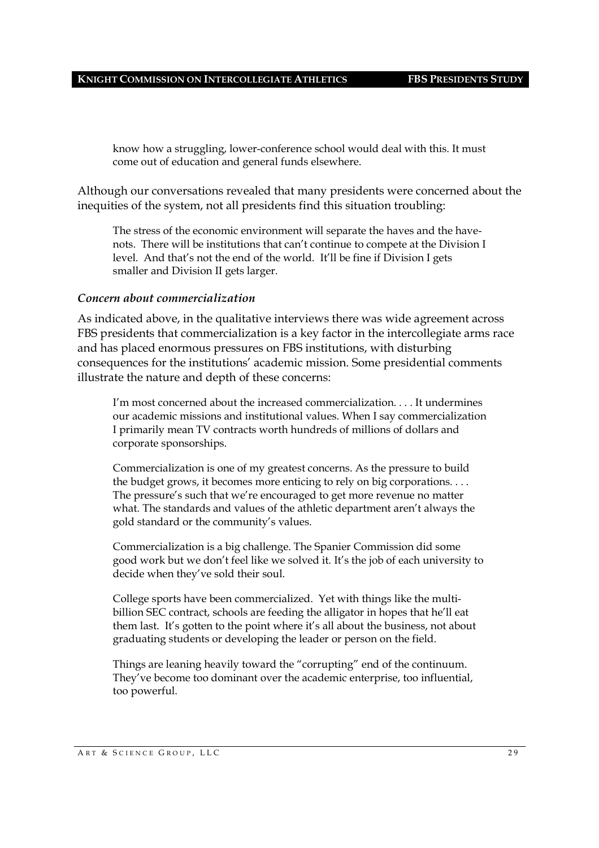know how a struggling, lower-conference school would deal with this. It must come out of education and general funds elsewhere.

Although our conversations revealed that many presidents were concerned about the inequities of the system, not all presidents find this situation troubling:

The stress of the economic environment will separate the haves and the havenots. There will be institutions that can't continue to compete at the Division I level. And that's not the end of the world. It'll be fine if Division I gets smaller and Division II gets larger.

#### *Concern about commercialization*

As indicated above, in the qualitative interviews there was wide agreement across FBS presidents that commercialization is a key factor in the intercollegiate arms race and has placed enormous pressures on FBS institutions, with disturbing consequences for the institutions' academic mission. Some presidential comments illustrate the nature and depth of these concerns:

I'm most concerned about the increased commercialization. . . . It undermines our academic missions and institutional values. When I say commercialization I primarily mean TV contracts worth hundreds of millions of dollars and corporate sponsorships.

Commercialization is one of my greatest concerns. As the pressure to build the budget grows, it becomes more enticing to rely on big corporations. . . . The pressure's such that we're encouraged to get more revenue no matter what. The standards and values of the athletic department aren't always the gold standard or the community's values.

Commercialization is a big challenge. The Spanier Commission did some good work but we don't feel like we solved it. It's the job of each university to decide when they've sold their soul.

College sports have been commercialized. Yet with things like the multibillion SEC contract, schools are feeding the alligator in hopes that he'll eat them last. It's gotten to the point where it's all about the business, not about graduating students or developing the leader or person on the field.

Things are leaning heavily toward the "corrupting" end of the continuum. They've become too dominant over the academic enterprise, too influential, too powerful.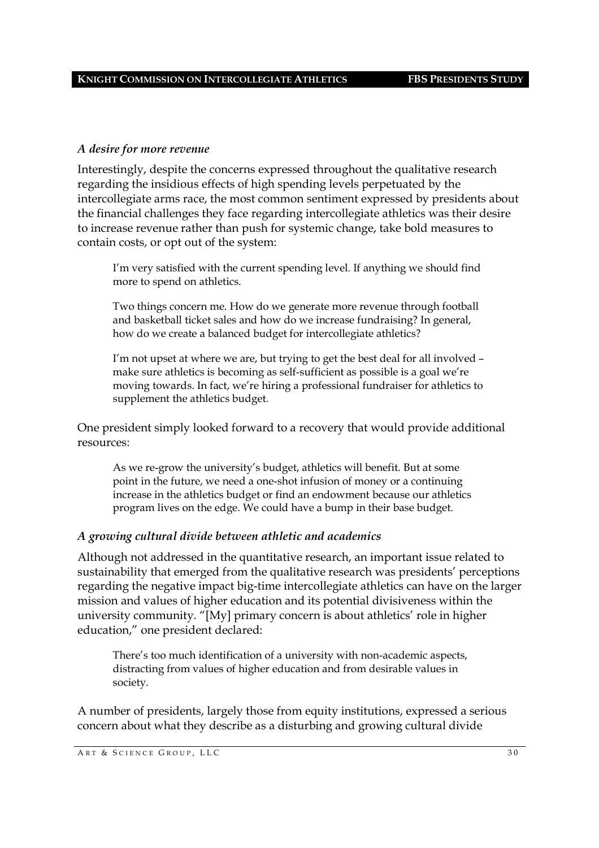#### *A desire for more revenue*

Interestingly, despite the concerns expressed throughout the qualitative research regarding the insidious effects of high spending levels perpetuated by the intercollegiate arms race, the most common sentiment expressed by presidents about the financial challenges they face regarding intercollegiate athletics was their desire to increase revenue rather than push for systemic change, take bold measures to contain costs, or opt out of the system:

I'm very satisfied with the current spending level. If anything we should find more to spend on athletics.

Two things concern me. How do we generate more revenue through football and basketball ticket sales and how do we increase fundraising? In general, how do we create a balanced budget for intercollegiate athletics?

I'm not upset at where we are, but trying to get the best deal for all involved – make sure athletics is becoming as self-sufficient as possible is a goal we're moving towards. In fact, we're hiring a professional fundraiser for athletics to supplement the athletics budget.

One president simply looked forward to a recovery that would provide additional resources:

As we re-grow the university's budget, athletics will benefit. But at some point in the future, we need a one-shot infusion of money or a continuing increase in the athletics budget or find an endowment because our athletics program lives on the edge. We could have a bump in their base budget.

#### *A growing cultural divide between athletic and academics*

Although not addressed in the quantitative research, an important issue related to sustainability that emerged from the qualitative research was presidents' perceptions regarding the negative impact big-time intercollegiate athletics can have on the larger mission and values of higher education and its potential divisiveness within the university community. "[My] primary concern is about athletics' role in higher education," one president declared:

There's too much identification of a university with non-academic aspects, distracting from values of higher education and from desirable values in society.

A number of presidents, largely those from equity institutions, expressed a serious concern about what they describe as a disturbing and growing cultural divide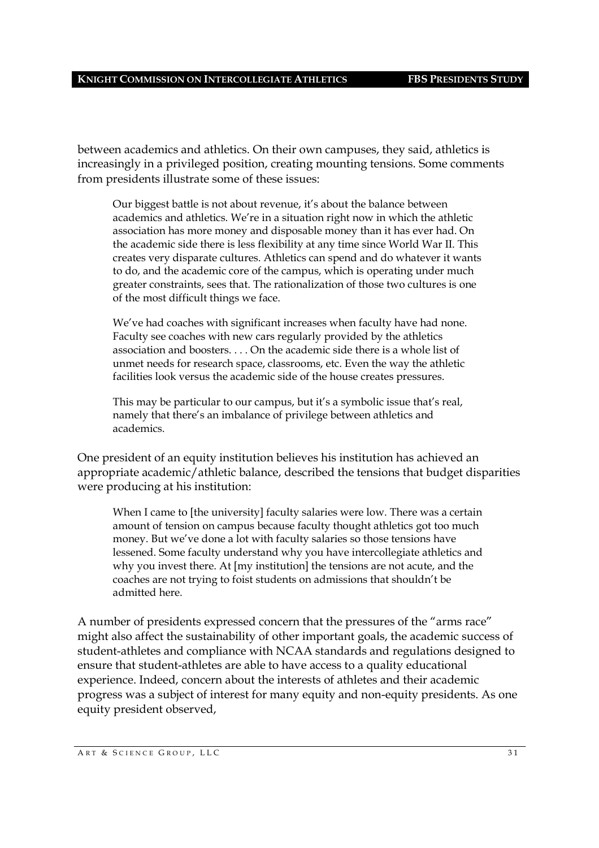between academics and athletics. On their own campuses, they said, athletics is increasingly in a privileged position, creating mounting tensions. Some comments from presidents illustrate some of these issues:

Our biggest battle is not about revenue, it's about the balance between academics and athletics. We're in a situation right now in which the athletic association has more money and disposable money than it has ever had. On the academic side there is less flexibility at any time since World War II. This creates very disparate cultures. Athletics can spend and do whatever it wants to do, and the academic core of the campus, which is operating under much greater constraints, sees that. The rationalization of those two cultures is one of the most difficult things we face.

We've had coaches with significant increases when faculty have had none. Faculty see coaches with new cars regularly provided by the athletics association and boosters. . . . On the academic side there is a whole list of unmet needs for research space, classrooms, etc. Even the way the athletic facilities look versus the academic side of the house creates pressures.

This may be particular to our campus, but it's a symbolic issue that's real, namely that there's an imbalance of privilege between athletics and academics.

One president of an equity institution believes his institution has achieved an appropriate academic/athletic balance, described the tensions that budget disparities were producing at his institution:

When I came to [the university] faculty salaries were low. There was a certain amount of tension on campus because faculty thought athletics got too much money. But we've done a lot with faculty salaries so those tensions have lessened. Some faculty understand why you have intercollegiate athletics and why you invest there. At [my institution] the tensions are not acute, and the coaches are not trying to foist students on admissions that shouldn't be admitted here.

A number of presidents expressed concern that the pressures of the "arms race" might also affect the sustainability of other important goals, the academic success of student-athletes and compliance with NCAA standards and regulations designed to ensure that student-athletes are able to have access to a quality educational experience. Indeed, concern about the interests of athletes and their academic progress was a subject of interest for many equity and non-equity presidents. As one equity president observed,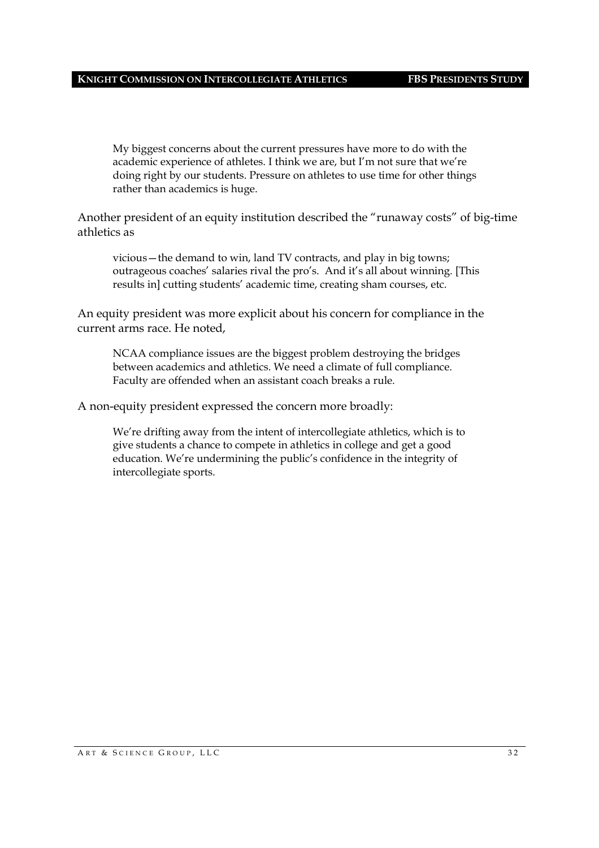My biggest concerns about the current pressures have more to do with the academic experience of athletes. I think we are, but I'm not sure that we're doing right by our students. Pressure on athletes to use time for other things rather than academics is huge.

Another president of an equity institution described the "runaway costs" of big-time athletics as

vicious—the demand to win, land TV contracts, and play in big towns; outrageous coaches' salaries rival the pro's. And it's all about winning. [This results in] cutting students' academic time, creating sham courses, etc.

An equity president was more explicit about his concern for compliance in the current arms race. He noted,

NCAA compliance issues are the biggest problem destroying the bridges between academics and athletics. We need a climate of full compliance. Faculty are offended when an assistant coach breaks a rule.

A non-equity president expressed the concern more broadly:

We're drifting away from the intent of intercollegiate athletics, which is to give students a chance to compete in athletics in college and get a good education. We're undermining the public's confidence in the integrity of intercollegiate sports.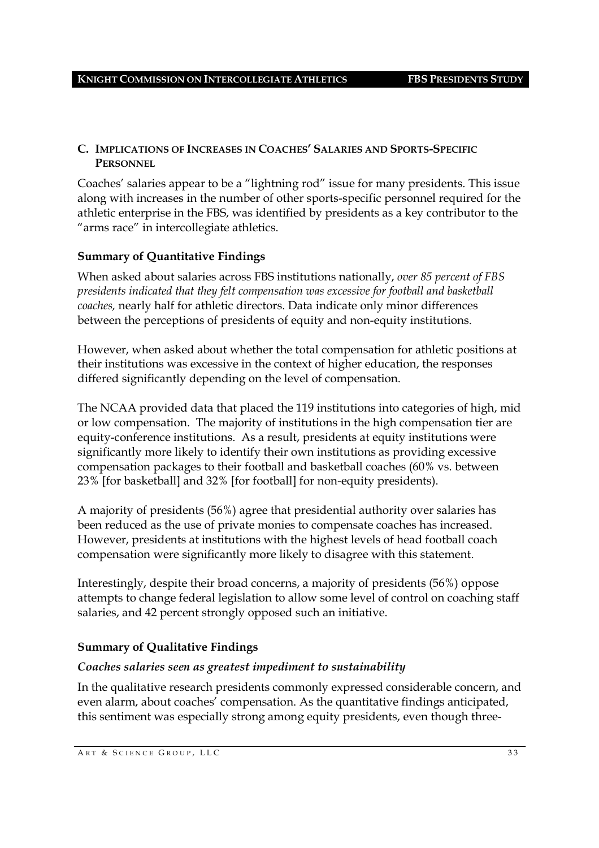## **C. IMPLICATIONS OF INCREASES IN COACHES' SALARIES AND SPORTS-SPECIFIC PERSONNEL**

Coaches' salaries appear to be a "lightning rod" issue for many presidents. This issue along with increases in the number of other sports-specific personnel required for the athletic enterprise in the FBS, was identified by presidents as a key contributor to the "arms race" in intercollegiate athletics.

# **Summary of Quantitative Findings**

When asked about salaries across FBS institutions nationally, *over 85 percent of FBS presidents indicated that they felt compensation was excessive for football and basketball coaches,* nearly half for athletic directors. Data indicate only minor differences between the perceptions of presidents of equity and non-equity institutions.

However, when asked about whether the total compensation for athletic positions at their institutions was excessive in the context of higher education, the responses differed significantly depending on the level of compensation.

The NCAA provided data that placed the 119 institutions into categories of high, mid or low compensation. The majority of institutions in the high compensation tier are equity-conference institutions. As a result, presidents at equity institutions were significantly more likely to identify their own institutions as providing excessive compensation packages to their football and basketball coaches (60% vs. between 23% [for basketball] and 32% [for football] for non-equity presidents).

A majority of presidents (56%) agree that presidential authority over salaries has been reduced as the use of private monies to compensate coaches has increased. However, presidents at institutions with the highest levels of head football coach compensation were significantly more likely to disagree with this statement.

Interestingly, despite their broad concerns, a majority of presidents (56%) oppose attempts to change federal legislation to allow some level of control on coaching staff salaries, and 42 percent strongly opposed such an initiative.

# **Summary of Qualitative Findings**

## *Coaches salaries seen as greatest impediment to sustainability*

In the qualitative research presidents commonly expressed considerable concern, and even alarm, about coaches' compensation. As the quantitative findings anticipated, this sentiment was especially strong among equity presidents, even though three-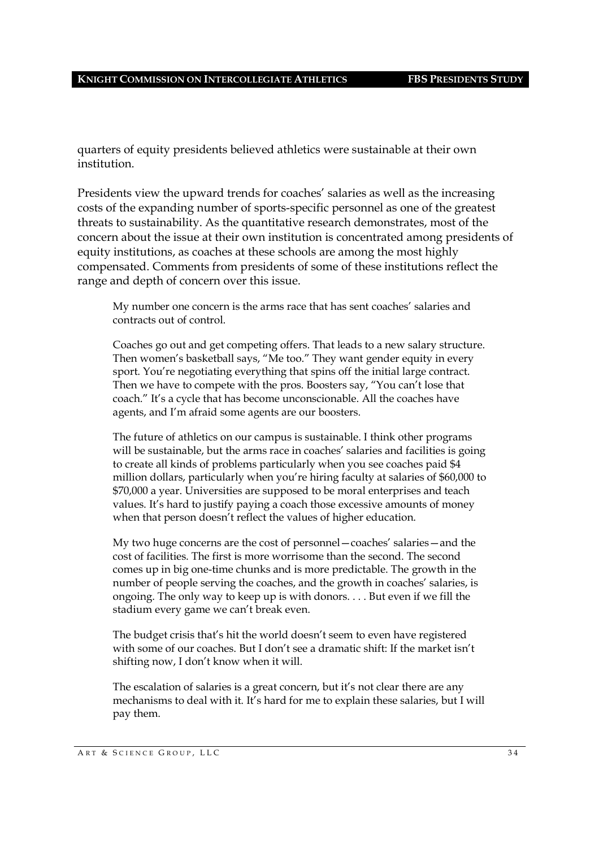quarters of equity presidents believed athletics were sustainable at their own institution.

Presidents view the upward trends for coaches' salaries as well as the increasing costs of the expanding number of sports-specific personnel as one of the greatest threats to sustainability. As the quantitative research demonstrates, most of the concern about the issue at their own institution is concentrated among presidents of equity institutions, as coaches at these schools are among the most highly compensated. Comments from presidents of some of these institutions reflect the range and depth of concern over this issue.

My number one concern is the arms race that has sent coaches' salaries and contracts out of control.

Coaches go out and get competing offers. That leads to a new salary structure. Then women's basketball says, "Me too." They want gender equity in every sport. You're negotiating everything that spins off the initial large contract. Then we have to compete with the pros. Boosters say, "You can't lose that coach." It's a cycle that has become unconscionable. All the coaches have agents, and I'm afraid some agents are our boosters.

The future of athletics on our campus is sustainable. I think other programs will be sustainable, but the arms race in coaches' salaries and facilities is going to create all kinds of problems particularly when you see coaches paid \$4 million dollars, particularly when you're hiring faculty at salaries of \$60,000 to \$70,000 a year. Universities are supposed to be moral enterprises and teach values. It's hard to justify paying a coach those excessive amounts of money when that person doesn't reflect the values of higher education.

My two huge concerns are the cost of personnel—coaches' salaries—and the cost of facilities. The first is more worrisome than the second. The second comes up in big one-time chunks and is more predictable. The growth in the number of people serving the coaches, and the growth in coaches' salaries, is ongoing. The only way to keep up is with donors. . . . But even if we fill the stadium every game we can't break even.

The budget crisis that's hit the world doesn't seem to even have registered with some of our coaches. But I don't see a dramatic shift: If the market isn't shifting now, I don't know when it will.

The escalation of salaries is a great concern, but it's not clear there are any mechanisms to deal with it. It's hard for me to explain these salaries, but I will pay them.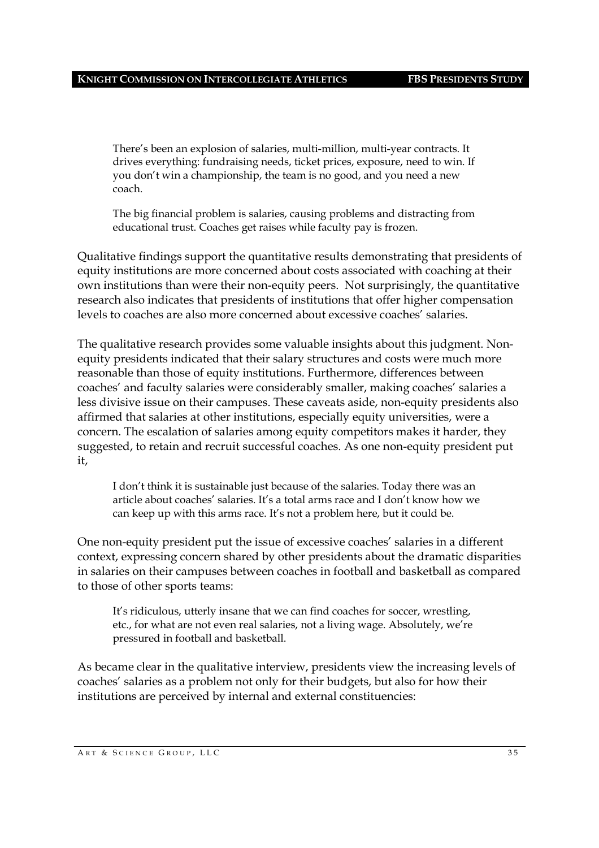There's been an explosion of salaries, multi-million, multi-year contracts. It drives everything: fundraising needs, ticket prices, exposure, need to win. If you don't win a championship, the team is no good, and you need a new coach.

The big financial problem is salaries, causing problems and distracting from educational trust. Coaches get raises while faculty pay is frozen.

Qualitative findings support the quantitative results demonstrating that presidents of equity institutions are more concerned about costs associated with coaching at their own institutions than were their non-equity peers. Not surprisingly, the quantitative research also indicates that presidents of institutions that offer higher compensation levels to coaches are also more concerned about excessive coaches' salaries.

The qualitative research provides some valuable insights about this judgment. Nonequity presidents indicated that their salary structures and costs were much more reasonable than those of equity institutions. Furthermore, differences between coaches' and faculty salaries were considerably smaller, making coaches' salaries a less divisive issue on their campuses. These caveats aside, non-equity presidents also affirmed that salaries at other institutions, especially equity universities, were a concern. The escalation of salaries among equity competitors makes it harder, they suggested, to retain and recruit successful coaches. As one non-equity president put it,

I don't think it is sustainable just because of the salaries. Today there was an article about coaches' salaries. It's a total arms race and I don't know how we can keep up with this arms race. It's not a problem here, but it could be.

One non-equity president put the issue of excessive coaches' salaries in a different context, expressing concern shared by other presidents about the dramatic disparities in salaries on their campuses between coaches in football and basketball as compared to those of other sports teams:

It's ridiculous, utterly insane that we can find coaches for soccer, wrestling, etc., for what are not even real salaries, not a living wage. Absolutely, we're pressured in football and basketball.

As became clear in the qualitative interview, presidents view the increasing levels of coaches' salaries as a problem not only for their budgets, but also for how their institutions are perceived by internal and external constituencies: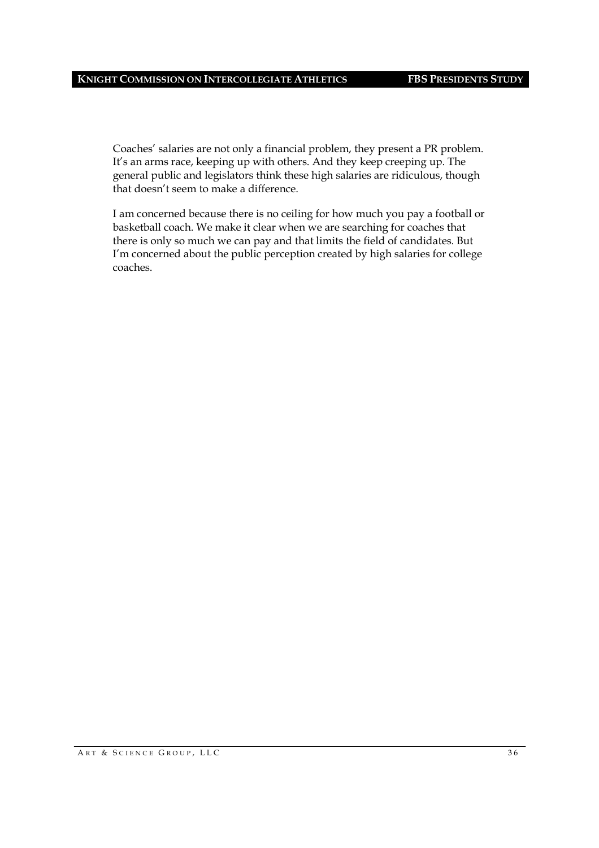Coaches' salaries are not only a financial problem, they present a PR problem. It's an arms race, keeping up with others. And they keep creeping up. The general public and legislators think these high salaries are ridiculous, though that doesn't seem to make a difference.

I am concerned because there is no ceiling for how much you pay a football or basketball coach. We make it clear when we are searching for coaches that there is only so much we can pay and that limits the field of candidates. But I'm concerned about the public perception created by high salaries for college coaches.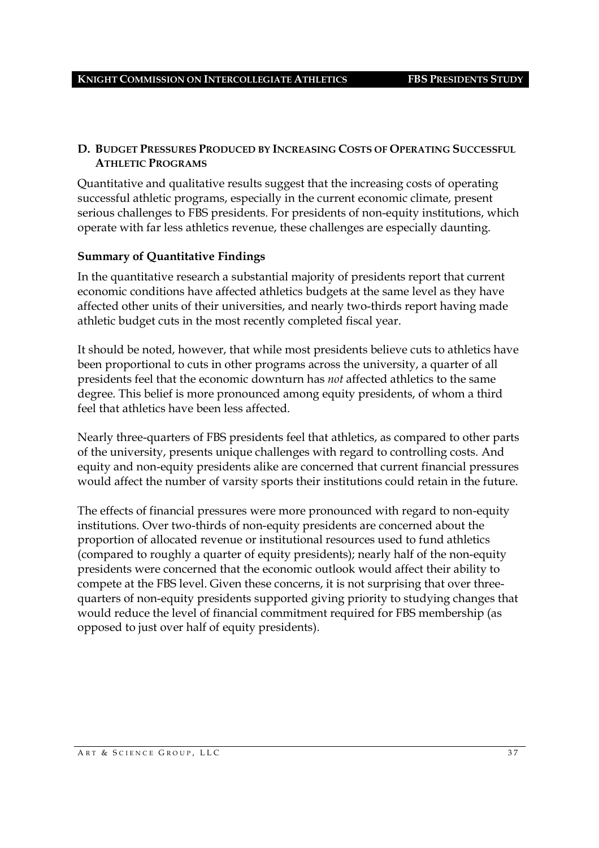## **D. BUDGET PRESSURES PRODUCED BY INCREASING COSTS OF OPERATING SUCCESSFUL ATHLETIC PROGRAMS**

Quantitative and qualitative results suggest that the increasing costs of operating successful athletic programs, especially in the current economic climate, present serious challenges to FBS presidents. For presidents of non-equity institutions, which operate with far less athletics revenue, these challenges are especially daunting.

## **Summary of Quantitative Findings**

In the quantitative research a substantial majority of presidents report that current economic conditions have affected athletics budgets at the same level as they have affected other units of their universities, and nearly two-thirds report having made athletic budget cuts in the most recently completed fiscal year.

It should be noted, however, that while most presidents believe cuts to athletics have been proportional to cuts in other programs across the university, a quarter of all presidents feel that the economic downturn has *not* affected athletics to the same degree. This belief is more pronounced among equity presidents, of whom a third feel that athletics have been less affected.

Nearly three-quarters of FBS presidents feel that athletics, as compared to other parts of the university, presents unique challenges with regard to controlling costs. And equity and non-equity presidents alike are concerned that current financial pressures would affect the number of varsity sports their institutions could retain in the future.

The effects of financial pressures were more pronounced with regard to non-equity institutions. Over two-thirds of non-equity presidents are concerned about the proportion of allocated revenue or institutional resources used to fund athletics (compared to roughly a quarter of equity presidents); nearly half of the non-equity presidents were concerned that the economic outlook would affect their ability to compete at the FBS level. Given these concerns, it is not surprising that over threequarters of non-equity presidents supported giving priority to studying changes that would reduce the level of financial commitment required for FBS membership (as opposed to just over half of equity presidents).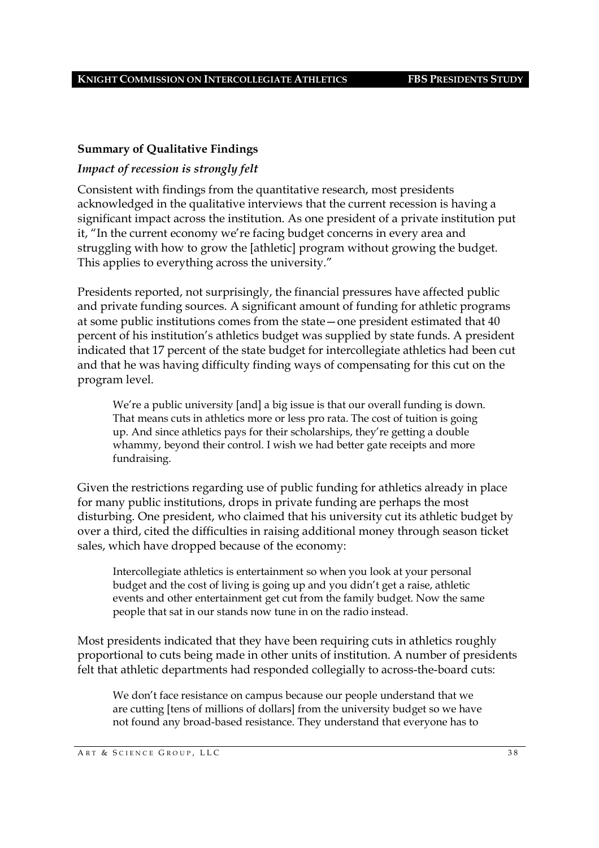## **Summary of Qualitative Findings**

## *Impact of recession is strongly felt*

Consistent with findings from the quantitative research, most presidents acknowledged in the qualitative interviews that the current recession is having a significant impact across the institution. As one president of a private institution put it, "In the current economy we're facing budget concerns in every area and struggling with how to grow the [athletic] program without growing the budget. This applies to everything across the university."

Presidents reported, not surprisingly, the financial pressures have affected public and private funding sources. A significant amount of funding for athletic programs at some public institutions comes from the state—one president estimated that 40 percent of his institution's athletics budget was supplied by state funds. A president indicated that 17 percent of the state budget for intercollegiate athletics had been cut and that he was having difficulty finding ways of compensating for this cut on the program level.

We're a public university [and] a big issue is that our overall funding is down. That means cuts in athletics more or less pro rata. The cost of tuition is going up. And since athletics pays for their scholarships, they're getting a double whammy, beyond their control. I wish we had better gate receipts and more fundraising.

Given the restrictions regarding use of public funding for athletics already in place for many public institutions, drops in private funding are perhaps the most disturbing. One president, who claimed that his university cut its athletic budget by over a third, cited the difficulties in raising additional money through season ticket sales, which have dropped because of the economy:

Intercollegiate athletics is entertainment so when you look at your personal budget and the cost of living is going up and you didn't get a raise, athletic events and other entertainment get cut from the family budget. Now the same people that sat in our stands now tune in on the radio instead.

Most presidents indicated that they have been requiring cuts in athletics roughly proportional to cuts being made in other units of institution. A number of presidents felt that athletic departments had responded collegially to across-the-board cuts:

We don't face resistance on campus because our people understand that we are cutting [tens of millions of dollars] from the university budget so we have not found any broad-based resistance. They understand that everyone has to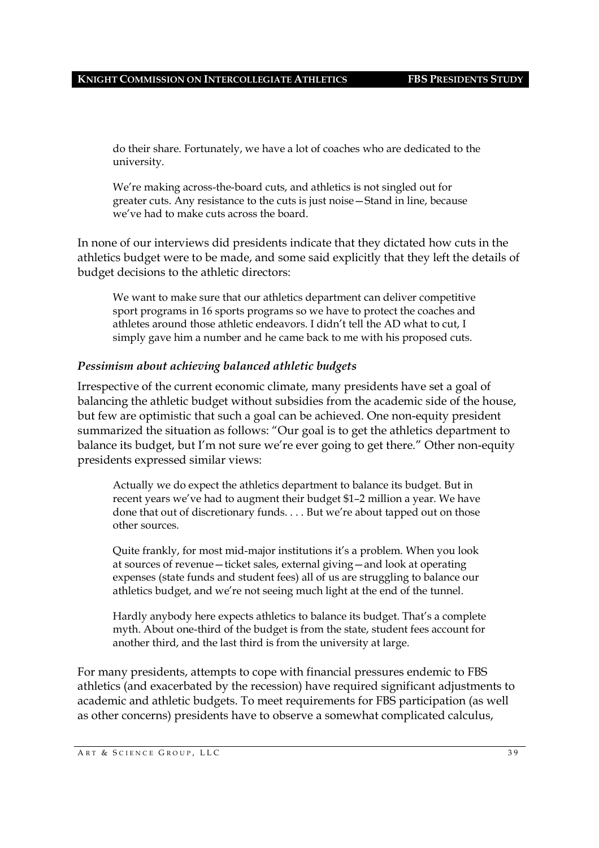do their share. Fortunately, we have a lot of coaches who are dedicated to the university.

We're making across-the-board cuts, and athletics is not singled out for greater cuts. Any resistance to the cuts is just noise—Stand in line, because we've had to make cuts across the board.

In none of our interviews did presidents indicate that they dictated how cuts in the athletics budget were to be made, and some said explicitly that they left the details of budget decisions to the athletic directors:

We want to make sure that our athletics department can deliver competitive sport programs in 16 sports programs so we have to protect the coaches and athletes around those athletic endeavors. I didn't tell the AD what to cut, I simply gave him a number and he came back to me with his proposed cuts.

#### *Pessimism about achieving balanced athletic budgets*

Irrespective of the current economic climate, many presidents have set a goal of balancing the athletic budget without subsidies from the academic side of the house, but few are optimistic that such a goal can be achieved. One non-equity president summarized the situation as follows: "Our goal is to get the athletics department to balance its budget, but I'm not sure we're ever going to get there." Other non-equity presidents expressed similar views:

Actually we do expect the athletics department to balance its budget. But in recent years we've had to augment their budget \$1–2 million a year. We have done that out of discretionary funds. . . . But we're about tapped out on those other sources.

Quite frankly, for most mid-major institutions it's a problem. When you look at sources of revenue—ticket sales, external giving—and look at operating expenses (state funds and student fees) all of us are struggling to balance our athletics budget, and we're not seeing much light at the end of the tunnel.

Hardly anybody here expects athletics to balance its budget. That's a complete myth. About one-third of the budget is from the state, student fees account for another third, and the last third is from the university at large.

For many presidents, attempts to cope with financial pressures endemic to FBS athletics (and exacerbated by the recession) have required significant adjustments to academic and athletic budgets. To meet requirements for FBS participation (as well as other concerns) presidents have to observe a somewhat complicated calculus,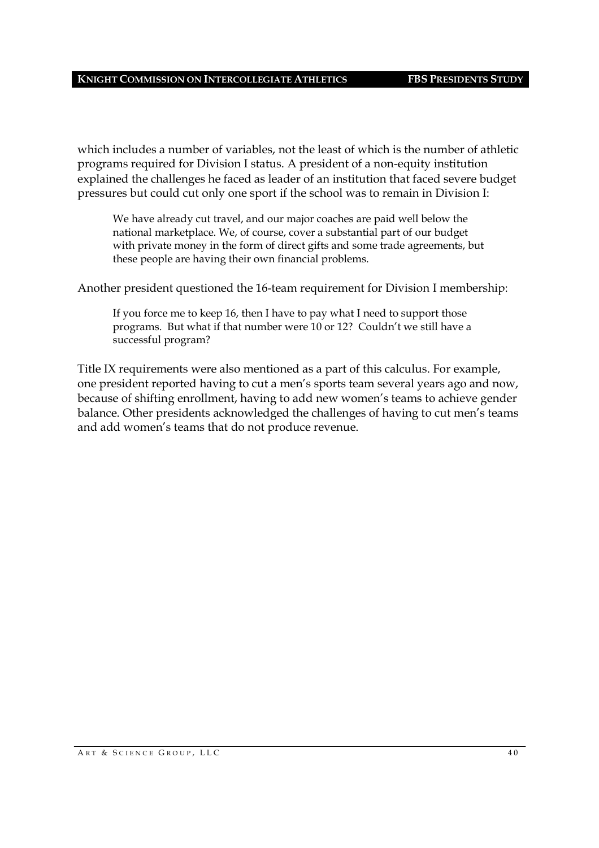which includes a number of variables, not the least of which is the number of athletic programs required for Division I status. A president of a non-equity institution explained the challenges he faced as leader of an institution that faced severe budget pressures but could cut only one sport if the school was to remain in Division I:

We have already cut travel, and our major coaches are paid well below the national marketplace. We, of course, cover a substantial part of our budget with private money in the form of direct gifts and some trade agreements, but these people are having their own financial problems.

Another president questioned the 16-team requirement for Division I membership:

If you force me to keep 16, then I have to pay what I need to support those programs. But what if that number were 10 or 12? Couldn't we still have a successful program?

Title IX requirements were also mentioned as a part of this calculus. For example, one president reported having to cut a men's sports team several years ago and now, because of shifting enrollment, having to add new women's teams to achieve gender balance. Other presidents acknowledged the challenges of having to cut men's teams and add women's teams that do not produce revenue.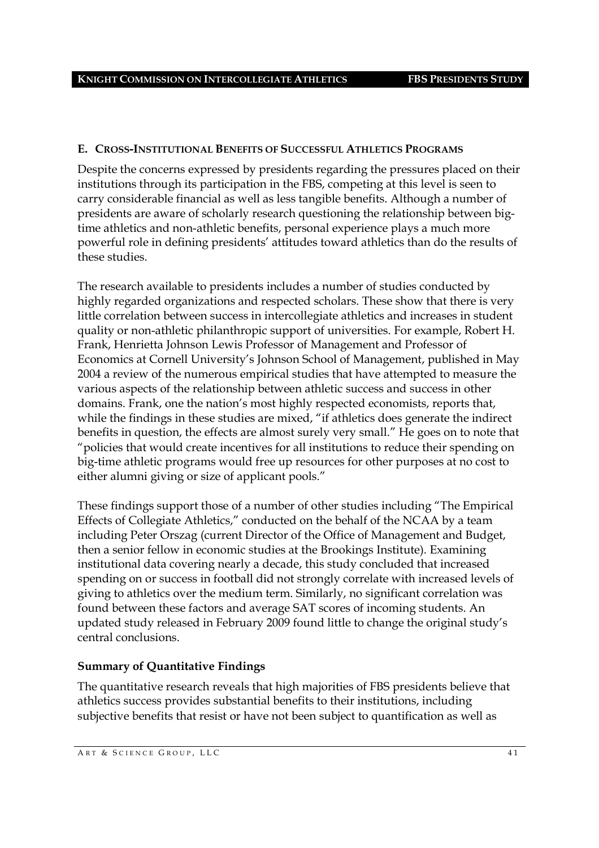#### **E. CROSS-INSTITUTIONAL BENEFITS OF SUCCESSFUL ATHLETICS PROGRAMS**

Despite the concerns expressed by presidents regarding the pressures placed on their institutions through its participation in the FBS, competing at this level is seen to carry considerable financial as well as less tangible benefits. Although a number of presidents are aware of scholarly research questioning the relationship between bigtime athletics and non-athletic benefits, personal experience plays a much more powerful role in defining presidents' attitudes toward athletics than do the results of these studies.

The research available to presidents includes a number of studies conducted by highly regarded organizations and respected scholars. These show that there is very little correlation between success in intercollegiate athletics and increases in student quality or non-athletic philanthropic support of universities. For example, Robert H. Frank, Henrietta Johnson Lewis Professor of Management and Professor of Economics at Cornell University's Johnson School of Management, published in May 2004 a review of the numerous empirical studies that have attempted to measure the various aspects of the relationship between athletic success and success in other domains. Frank, one the nation's most highly respected economists, reports that, while the findings in these studies are mixed, "if athletics does generate the indirect benefits in question, the effects are almost surely very small." He goes on to note that "policies that would create incentives for all institutions to reduce their spending on big-time athletic programs would free up resources for other purposes at no cost to either alumni giving or size of applicant pools."

These findings support those of a number of other studies including "The Empirical Effects of Collegiate Athletics," conducted on the behalf of the NCAA by a team including Peter Orszag (current Director of the Office of Management and Budget, then a senior fellow in economic studies at the Brookings Institute). Examining institutional data covering nearly a decade, this study concluded that increased spending on or success in football did not strongly correlate with increased levels of giving to athletics over the medium term. Similarly, no significant correlation was found between these factors and average SAT scores of incoming students. An updated study released in February 2009 found little to change the original study's central conclusions.

## **Summary of Quantitative Findings**

The quantitative research reveals that high majorities of FBS presidents believe that athletics success provides substantial benefits to their institutions, including subjective benefits that resist or have not been subject to quantification as well as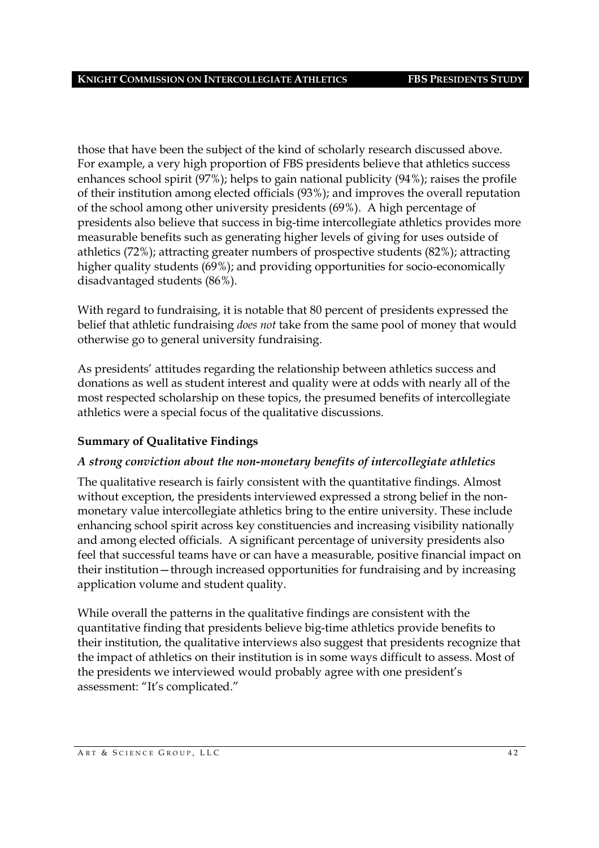those that have been the subject of the kind of scholarly research discussed above. For example, a very high proportion of FBS presidents believe that athletics success enhances school spirit (97%); helps to gain national publicity (94%); raises the profile of their institution among elected officials (93%); and improves the overall reputation of the school among other university presidents (69%). A high percentage of presidents also believe that success in big-time intercollegiate athletics provides more measurable benefits such as generating higher levels of giving for uses outside of athletics (72%); attracting greater numbers of prospective students (82%); attracting higher quality students (69%); and providing opportunities for socio-economically disadvantaged students (86%).

With regard to fundraising, it is notable that 80 percent of presidents expressed the belief that athletic fundraising *does not* take from the same pool of money that would otherwise go to general university fundraising.

As presidents' attitudes regarding the relationship between athletics success and donations as well as student interest and quality were at odds with nearly all of the most respected scholarship on these topics, the presumed benefits of intercollegiate athletics were a special focus of the qualitative discussions.

## **Summary of Qualitative Findings**

## *A strong conviction about the non-monetary benefits of intercollegiate athletics*

The qualitative research is fairly consistent with the quantitative findings. Almost without exception, the presidents interviewed expressed a strong belief in the nonmonetary value intercollegiate athletics bring to the entire university. These include enhancing school spirit across key constituencies and increasing visibility nationally and among elected officials. A significant percentage of university presidents also feel that successful teams have or can have a measurable, positive financial impact on their institution—through increased opportunities for fundraising and by increasing application volume and student quality.

While overall the patterns in the qualitative findings are consistent with the quantitative finding that presidents believe big-time athletics provide benefits to their institution, the qualitative interviews also suggest that presidents recognize that the impact of athletics on their institution is in some ways difficult to assess. Most of the presidents we interviewed would probably agree with one president's assessment: "It's complicated."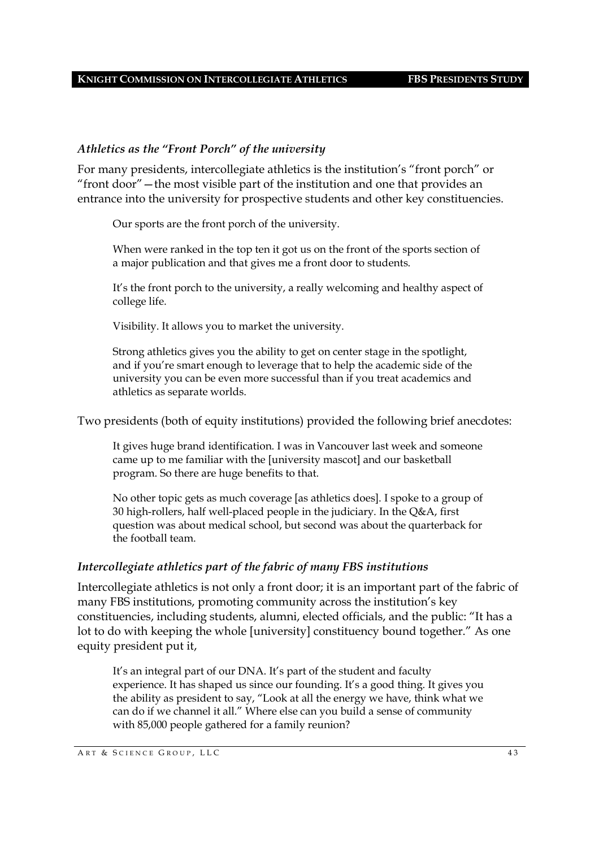**KNIGHT COMMISSION ON INTERCOLLEGIATE ATHLETICS FBS PRESIDENTS STUDY**

#### *Athletics as the "Front Porch" of the university*

For many presidents, intercollegiate athletics is the institution's "front porch" or "front door"—the most visible part of the institution and one that provides an entrance into the university for prospective students and other key constituencies.

Our sports are the front porch of the university.

When were ranked in the top ten it got us on the front of the sports section of a major publication and that gives me a front door to students.

It's the front porch to the university, a really welcoming and healthy aspect of college life.

Visibility. It allows you to market the university.

Strong athletics gives you the ability to get on center stage in the spotlight, and if you're smart enough to leverage that to help the academic side of the university you can be even more successful than if you treat academics and athletics as separate worlds.

Two presidents (both of equity institutions) provided the following brief anecdotes:

It gives huge brand identification. I was in Vancouver last week and someone came up to me familiar with the [university mascot] and our basketball program. So there are huge benefits to that.

No other topic gets as much coverage [as athletics does]. I spoke to a group of 30 high-rollers, half well-placed people in the judiciary. In the Q&A, first question was about medical school, but second was about the quarterback for the football team.

#### *Intercollegiate athletics part of the fabric of many FBS institutions*

Intercollegiate athletics is not only a front door; it is an important part of the fabric of many FBS institutions, promoting community across the institution's key constituencies, including students, alumni, elected officials, and the public: "It has a lot to do with keeping the whole [university] constituency bound together." As one equity president put it,

It's an integral part of our DNA. It's part of the student and faculty experience. It has shaped us since our founding. It's a good thing. It gives you the ability as president to say, "Look at all the energy we have, think what we can do if we channel it all." Where else can you build a sense of community with 85,000 people gathered for a family reunion?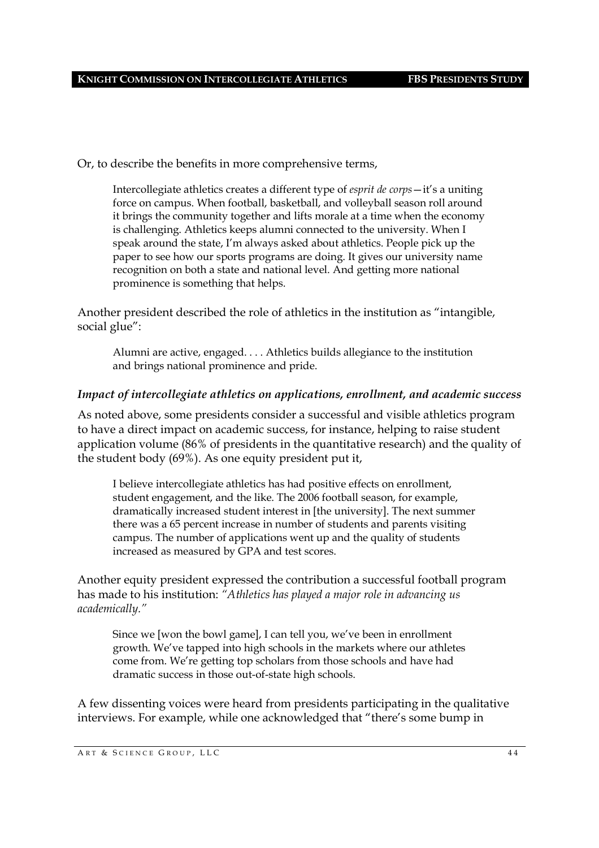Or, to describe the benefits in more comprehensive terms,

Intercollegiate athletics creates a different type of *esprit de corps*—it's a uniting force on campus. When football, basketball, and volleyball season roll around it brings the community together and lifts morale at a time when the economy is challenging. Athletics keeps alumni connected to the university. When I speak around the state, I'm always asked about athletics. People pick up the paper to see how our sports programs are doing. It gives our university name recognition on both a state and national level. And getting more national prominence is something that helps.

Another president described the role of athletics in the institution as "intangible, social glue":

Alumni are active, engaged. . . . Athletics builds allegiance to the institution and brings national prominence and pride.

#### *Impact of intercollegiate athletics on applications, enrollment, and academic success*

As noted above, some presidents consider a successful and visible athletics program to have a direct impact on academic success, for instance, helping to raise student application volume (86% of presidents in the quantitative research) and the quality of the student body (69%). As one equity president put it,

I believe intercollegiate athletics has had positive effects on enrollment, student engagement, and the like. The 2006 football season, for example, dramatically increased student interest in [the university]. The next summer there was a 65 percent increase in number of students and parents visiting campus. The number of applications went up and the quality of students increased as measured by GPA and test scores.

Another equity president expressed the contribution a successful football program has made to his institution: *"Athletics has played a major role in advancing us academically."*

Since we [won the bowl game], I can tell you, we've been in enrollment growth. We've tapped into high schools in the markets where our athletes come from. We're getting top scholars from those schools and have had dramatic success in those out-of-state high schools.

A few dissenting voices were heard from presidents participating in the qualitative interviews. For example, while one acknowledged that "there's some bump in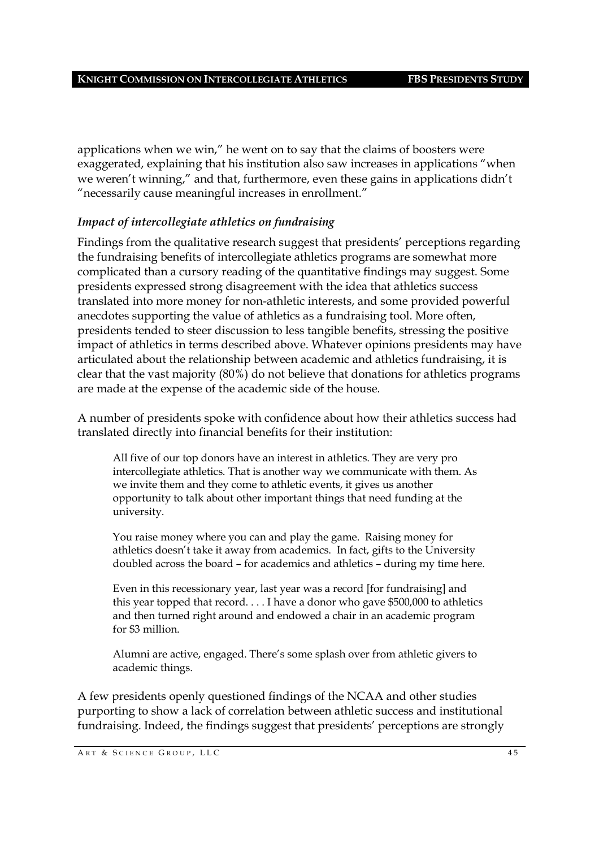applications when we win," he went on to say that the claims of boosters were exaggerated, explaining that his institution also saw increases in applications "when we weren't winning," and that, furthermore, even these gains in applications didn't "necessarily cause meaningful increases in enrollment."

# *Impact of intercollegiate athletics on fundraising*

Findings from the qualitative research suggest that presidents' perceptions regarding the fundraising benefits of intercollegiate athletics programs are somewhat more complicated than a cursory reading of the quantitative findings may suggest. Some presidents expressed strong disagreement with the idea that athletics success translated into more money for non-athletic interests, and some provided powerful anecdotes supporting the value of athletics as a fundraising tool. More often, presidents tended to steer discussion to less tangible benefits, stressing the positive impact of athletics in terms described above. Whatever opinions presidents may have articulated about the relationship between academic and athletics fundraising, it is clear that the vast majority (80%) do not believe that donations for athletics programs are made at the expense of the academic side of the house.

A number of presidents spoke with confidence about how their athletics success had translated directly into financial benefits for their institution:

All five of our top donors have an interest in athletics. They are very pro intercollegiate athletics. That is another way we communicate with them. As we invite them and they come to athletic events, it gives us another opportunity to talk about other important things that need funding at the university.

You raise money where you can and play the game. Raising money for athletics doesn't take it away from academics. In fact, gifts to the University doubled across the board – for academics and athletics – during my time here.

Even in this recessionary year, last year was a record [for fundraising] and this year topped that record. . . . I have a donor who gave \$500,000 to athletics and then turned right around and endowed a chair in an academic program for \$3 million.

Alumni are active, engaged. There's some splash over from athletic givers to academic things.

A few presidents openly questioned findings of the NCAA and other studies purporting to show a lack of correlation between athletic success and institutional fundraising. Indeed, the findings suggest that presidents' perceptions are strongly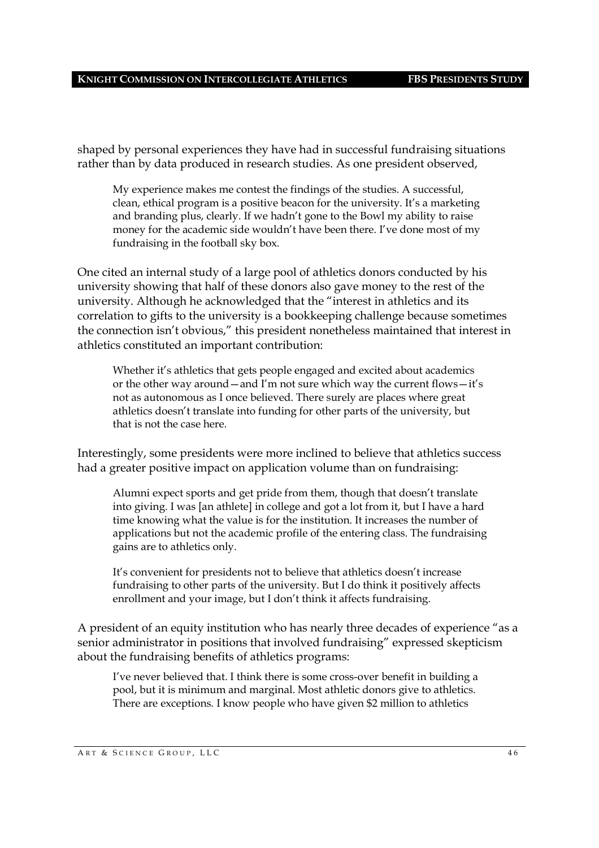shaped by personal experiences they have had in successful fundraising situations rather than by data produced in research studies. As one president observed,

My experience makes me contest the findings of the studies. A successful, clean, ethical program is a positive beacon for the university. It's a marketing and branding plus, clearly. If we hadn't gone to the Bowl my ability to raise money for the academic side wouldn't have been there. I've done most of my fundraising in the football sky box.

One cited an internal study of a large pool of athletics donors conducted by his university showing that half of these donors also gave money to the rest of the university. Although he acknowledged that the "interest in athletics and its correlation to gifts to the university is a bookkeeping challenge because sometimes the connection isn't obvious," this president nonetheless maintained that interest in athletics constituted an important contribution:

Whether it's athletics that gets people engaged and excited about academics or the other way around—and I'm not sure which way the current flows—it's not as autonomous as I once believed. There surely are places where great athletics doesn't translate into funding for other parts of the university, but that is not the case here.

Interestingly, some presidents were more inclined to believe that athletics success had a greater positive impact on application volume than on fundraising:

Alumni expect sports and get pride from them, though that doesn't translate into giving. I was [an athlete] in college and got a lot from it, but I have a hard time knowing what the value is for the institution. It increases the number of applications but not the academic profile of the entering class. The fundraising gains are to athletics only.

It's convenient for presidents not to believe that athletics doesn't increase fundraising to other parts of the university. But I do think it positively affects enrollment and your image, but I don't think it affects fundraising.

A president of an equity institution who has nearly three decades of experience "as a senior administrator in positions that involved fundraising" expressed skepticism about the fundraising benefits of athletics programs:

I've never believed that. I think there is some cross-over benefit in building a pool, but it is minimum and marginal. Most athletic donors give to athletics. There are exceptions. I know people who have given \$2 million to athletics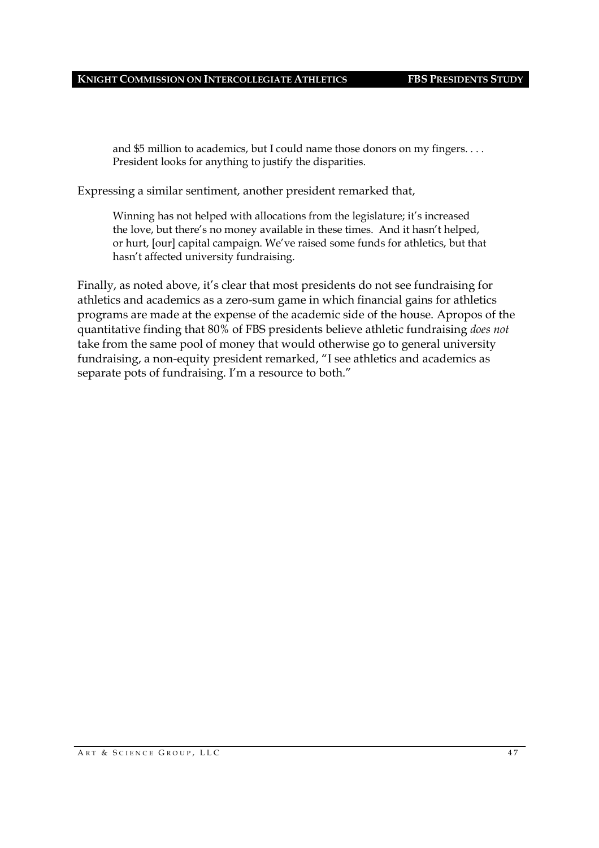and \$5 million to academics, but I could name those donors on my fingers. . . . President looks for anything to justify the disparities.

Expressing a similar sentiment, another president remarked that,

Winning has not helped with allocations from the legislature; it's increased the love, but there's no money available in these times. And it hasn't helped, or hurt, [our] capital campaign. We've raised some funds for athletics, but that hasn't affected university fundraising.

Finally, as noted above, it's clear that most presidents do not see fundraising for athletics and academics as a zero-sum game in which financial gains for athletics programs are made at the expense of the academic side of the house. Apropos of the quantitative finding that 80% of FBS presidents believe athletic fundraising *does not* take from the same pool of money that would otherwise go to general university fundraising, a non-equity president remarked, "I see athletics and academics as separate pots of fundraising. I'm a resource to both."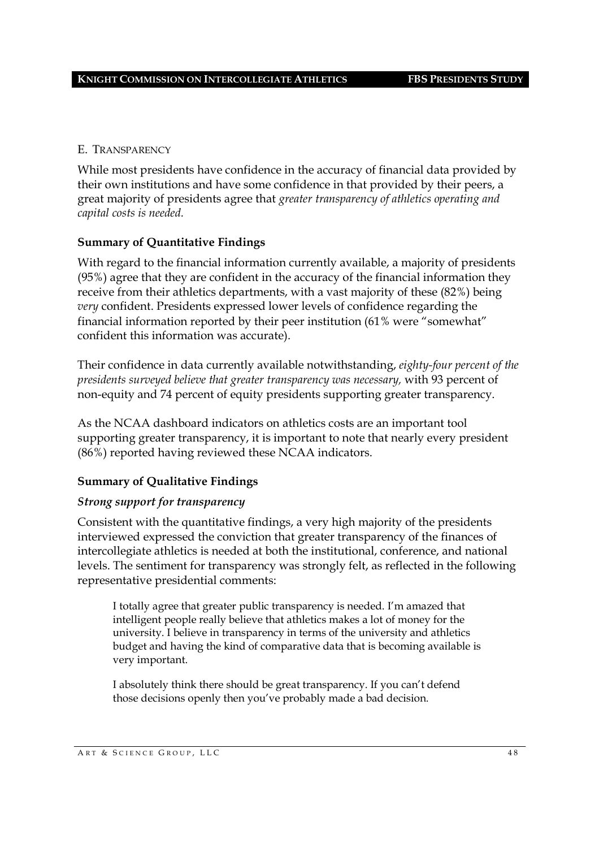## E. TRANSPARENCY

While most presidents have confidence in the accuracy of financial data provided by their own institutions and have some confidence in that provided by their peers, a great majority of presidents agree that *greater transparency of athletics operating and capital costs is needed.*

# **Summary of Quantitative Findings**

With regard to the financial information currently available, a majority of presidents (95%) agree that they are confident in the accuracy of the financial information they receive from their athletics departments, with a vast majority of these (82%) being *very* confident. Presidents expressed lower levels of confidence regarding the financial information reported by their peer institution (61% were "somewhat" confident this information was accurate).

Their confidence in data currently available notwithstanding, *eighty-four percent of the presidents surveyed believe that greater transparency was necessary,* with 93 percent of non-equity and 74 percent of equity presidents supporting greater transparency.

As the NCAA dashboard indicators on athletics costs are an important tool supporting greater transparency, it is important to note that nearly every president (86%) reported having reviewed these NCAA indicators.

# **Summary of Qualitative Findings**

## *Strong support for transparency*

Consistent with the quantitative findings, a very high majority of the presidents interviewed expressed the conviction that greater transparency of the finances of intercollegiate athletics is needed at both the institutional, conference, and national levels. The sentiment for transparency was strongly felt, as reflected in the following representative presidential comments:

I totally agree that greater public transparency is needed. I'm amazed that intelligent people really believe that athletics makes a lot of money for the university. I believe in transparency in terms of the university and athletics budget and having the kind of comparative data that is becoming available is very important.

I absolutely think there should be great transparency. If you can't defend those decisions openly then you've probably made a bad decision.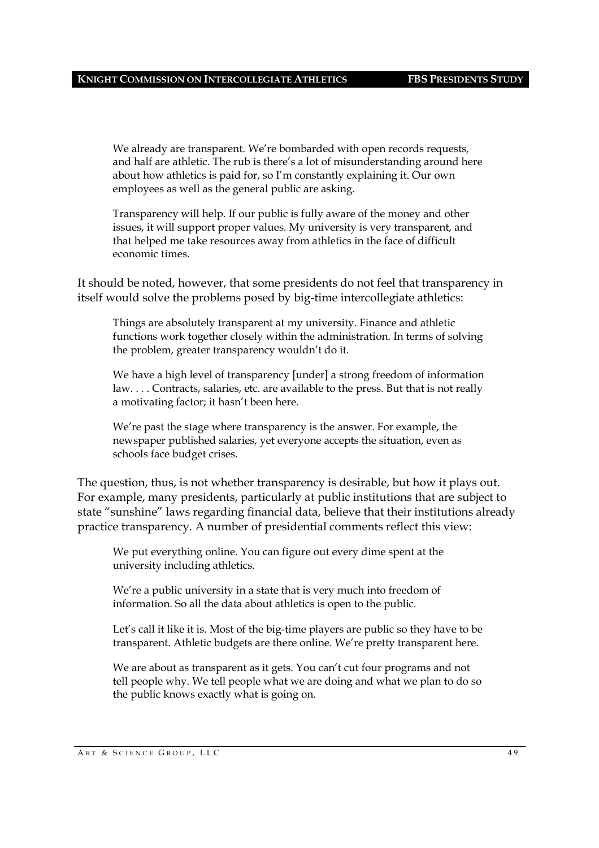We already are transparent. We're bombarded with open records requests, and half are athletic. The rub is there's a lot of misunderstanding around here about how athletics is paid for, so I'm constantly explaining it. Our own employees as well as the general public are asking.

Transparency will help. If our public is fully aware of the money and other issues, it will support proper values. My university is very transparent, and that helped me take resources away from athletics in the face of difficult economic times.

It should be noted, however, that some presidents do not feel that transparency in itself would solve the problems posed by big-time intercollegiate athletics:

Things are absolutely transparent at my university. Finance and athletic functions work together closely within the administration. In terms of solving the problem, greater transparency wouldn't do it.

We have a high level of transparency [under] a strong freedom of information law. . . . Contracts, salaries, etc. are available to the press. But that is not really a motivating factor; it hasn't been here.

We're past the stage where transparency is the answer. For example, the newspaper published salaries, yet everyone accepts the situation, even as schools face budget crises.

The question, thus, is not whether transparency is desirable, but how it plays out. For example, many presidents, particularly at public institutions that are subject to state "sunshine" laws regarding financial data, believe that their institutions already practice transparency. A number of presidential comments reflect this view:

We put everything online. You can figure out every dime spent at the university including athletics.

We're a public university in a state that is very much into freedom of information. So all the data about athletics is open to the public.

Let's call it like it is. Most of the big-time players are public so they have to be transparent. Athletic budgets are there online. We're pretty transparent here.

We are about as transparent as it gets. You can't cut four programs and not tell people why. We tell people what we are doing and what we plan to do so the public knows exactly what is going on.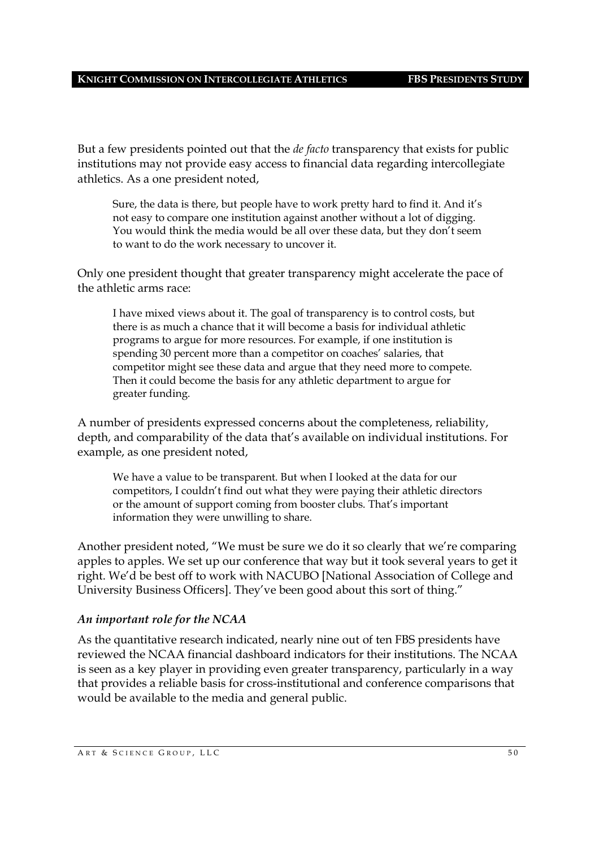But a few presidents pointed out that the *de facto* transparency that exists for public institutions may not provide easy access to financial data regarding intercollegiate athletics. As a one president noted,

Sure, the data is there, but people have to work pretty hard to find it. And it's not easy to compare one institution against another without a lot of digging. You would think the media would be all over these data, but they don't seem to want to do the work necessary to uncover it.

Only one president thought that greater transparency might accelerate the pace of the athletic arms race:

I have mixed views about it. The goal of transparency is to control costs, but there is as much a chance that it will become a basis for individual athletic programs to argue for more resources. For example, if one institution is spending 30 percent more than a competitor on coaches' salaries, that competitor might see these data and argue that they need more to compete. Then it could become the basis for any athletic department to argue for greater funding.

A number of presidents expressed concerns about the completeness, reliability, depth, and comparability of the data that's available on individual institutions. For example, as one president noted,

We have a value to be transparent. But when I looked at the data for our competitors, I couldn't find out what they were paying their athletic directors or the amount of support coming from booster clubs. That's important information they were unwilling to share.

Another president noted, "We must be sure we do it so clearly that we're comparing apples to apples. We set up our conference that way but it took several years to get it right. We'd be best off to work with NACUBO [National Association of College and University Business Officers]. They've been good about this sort of thing."

#### *An important role for the NCAA*

As the quantitative research indicated, nearly nine out of ten FBS presidents have reviewed the NCAA financial dashboard indicators for their institutions. The NCAA is seen as a key player in providing even greater transparency, particularly in a way that provides a reliable basis for cross-institutional and conference comparisons that would be available to the media and general public.